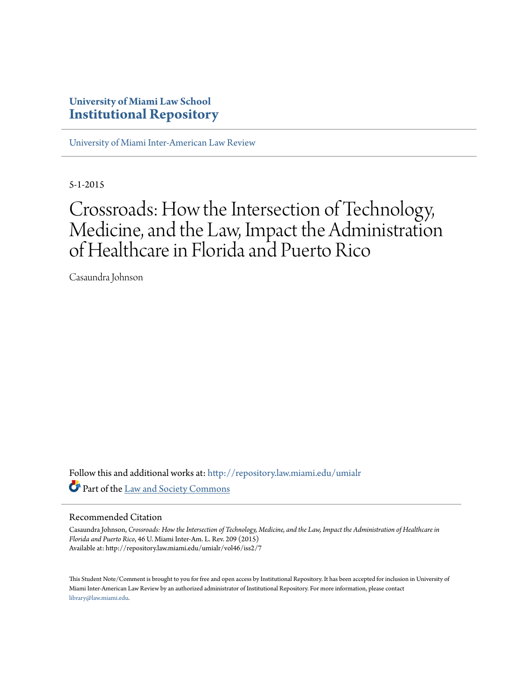# **University of Miami Law School [Institutional Repository](http://repository.law.miami.edu?utm_source=repository.law.miami.edu%2Fumialr%2Fvol46%2Fiss2%2F7&utm_medium=PDF&utm_campaign=PDFCoverPages)**

[University of Miami Inter-American Law Review](http://repository.law.miami.edu/umialr?utm_source=repository.law.miami.edu%2Fumialr%2Fvol46%2Fiss2%2F7&utm_medium=PDF&utm_campaign=PDFCoverPages)

5-1-2015

# Crossroads: How the Intersection of Technology, Medicine, and the Law, Impact the Administration of Healthcare in Florida and Puerto Rico

Casaundra Johnson

Follow this and additional works at: [http://repository.law.miami.edu/umialr](http://repository.law.miami.edu/umialr?utm_source=repository.law.miami.edu%2Fumialr%2Fvol46%2Fiss2%2F7&utm_medium=PDF&utm_campaign=PDFCoverPages) Part of the [Law and Society Commons](http://network.bepress.com/hgg/discipline/853?utm_source=repository.law.miami.edu%2Fumialr%2Fvol46%2Fiss2%2F7&utm_medium=PDF&utm_campaign=PDFCoverPages)

# Recommended Citation

Casaundra Johnson, *Crossroads: How the Intersection of Technology, Medicine, and the Law, Impact the Administration of Healthcare in Florida and Puerto Rico*, 46 U. Miami Inter-Am. L. Rev. 209 (2015) Available at: http://repository.law.miami.edu/umialr/vol46/iss2/7

This Student Note/Comment is brought to you for free and open access by Institutional Repository. It has been accepted for inclusion in University of Miami Inter-American Law Review by an authorized administrator of Institutional Repository. For more information, please contact [library@law.miami.edu](mailto:library@law.miami.edu).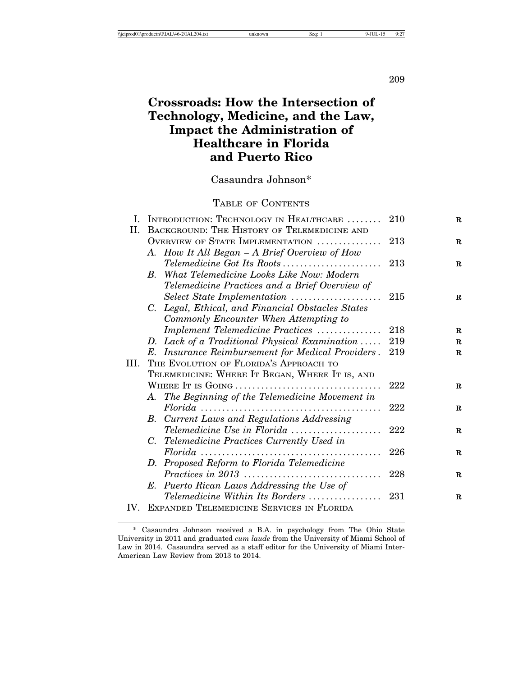209

# **Crossroads: How the Intersection of Technology, Medicine, and the Law, Impact the Administration of Healthcare in Florida and Puerto Rico**

Casaundra Johnson\*

# TABLE OF CONTENTS

| L.   | INTRODUCTION: TECHNOLOGY IN HEALTHCARE                                                        | 210  | $\mathbf R$ |
|------|-----------------------------------------------------------------------------------------------|------|-------------|
| П.   | BACKGROUND: THE HISTORY OF TELEMEDICINE AND                                                   |      |             |
|      | OVERVIEW OF STATE IMPLEMENTATION                                                              | 213  | $\mathbf R$ |
|      | A. How It All Began - A Brief Overview of How                                                 |      |             |
|      | Telemedicine Got Its Roots                                                                    | -213 | $\bf{R}$    |
|      | What Telemedicine Looks Like Now: Modern<br>$B_{\cdot}$                                       |      |             |
|      | Telemedicine Practices and a Brief Overview of                                                |      |             |
|      | Select State Implementation                                                                   | 215  | $\mathbf R$ |
|      | C. Legal, Ethical, and Financial Obstacles States                                             |      |             |
|      | Commonly Encounter When Attempting to                                                         |      |             |
|      | Implement Telemedicine Practices                                                              | 218  | R           |
|      | D. Lack of a Traditional Physical Examination                                                 | 219  | $\mathbf R$ |
|      | E. Insurance Reimbursement for Medical Providers.                                             | 219  | $\mathbf R$ |
| III. | THE EVOLUTION OF FLORIDA'S APPROACH TO                                                        |      |             |
|      | TELEMEDICINE: WHERE IT BEGAN, WHERE IT IS, AND                                                |      |             |
|      |                                                                                               | 222  | $\bf{R}$    |
|      | A. The Beginning of the Telemedicine Movement in                                              |      |             |
|      | $Florida \dots \dots \dots \dots \dots \dots \dots \dots \dots \dots \dots \dots \dots \dots$ | 222  | $\mathbf R$ |
|      | B. Current Laws and Regulations Addressing                                                    |      |             |
|      | Telemedicine Use in Florida                                                                   | 222  | $\mathbf R$ |
|      | <b>Telemedicine Practices Currently Used in</b><br>С.                                         |      |             |
|      |                                                                                               | 226  | R           |
|      | D. Proposed Reform to Florida Telemedicine                                                    |      |             |
|      |                                                                                               | 228  | $\mathbf R$ |
|      | E. Puerto Rican Laws Addressing the Use of                                                    |      |             |
|      | Telemedicine Within Its Borders                                                               | 231  | R           |
| IV.  | EXPANDED TELEMEDICINE SERVICES IN FLORIDA                                                     |      |             |

<sup>\*</sup> Casaundra Johnson received a B.A. in psychology from The Ohio State University in 2011 and graduated *cum laude* from the University of Miami School of Law in 2014. Casaundra served as a staff editor for the University of Miami Inter-American Law Review from 2013 to 2014.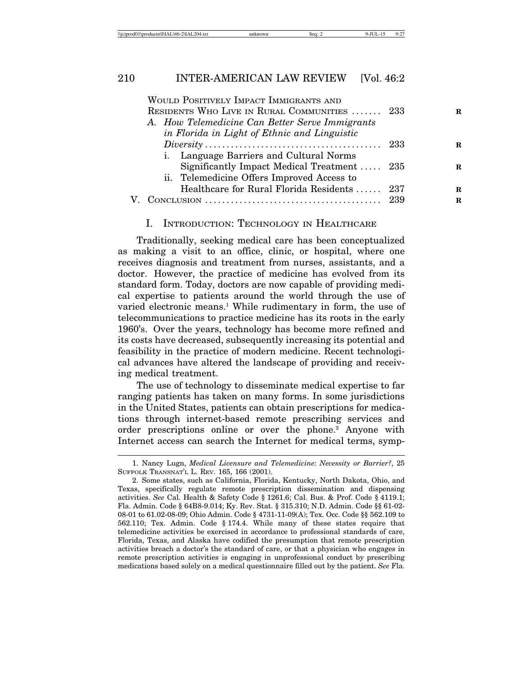| \\iciprod01\productn\I\IAL\46-2\IAL204.txt | Seq: |  | $-$<br>$\overline{\phantom{a}}$ |
|--------------------------------------------|------|--|---------------------------------|
|--------------------------------------------|------|--|---------------------------------|

|  | WOULD POSITIVELY IMPACT IMMIGRANTS AND<br>RESIDENTS WHO LIVE IN RURAL COMMUNITIES  233 | R  |
|--|----------------------------------------------------------------------------------------|----|
|  | A. How Telemedicine Can Better Serve Immigrants                                        |    |
|  | in Florida in Light of Ethnic and Linguistic                                           |    |
|  |                                                                                        | R  |
|  | i. Language Barriers and Cultural Norms                                                |    |
|  | Significantly Impact Medical Treatment  235                                            | R  |
|  | ii. Telemedicine Offers Improved Access to                                             |    |
|  | Healthcare for Rural Florida Residents  237                                            | R. |
|  |                                                                                        | R. |

# I. INTRODUCTION: TECHNOLOGY IN HEALTHCARE

Traditionally, seeking medical care has been conceptualized as making a visit to an office, clinic, or hospital, where one receives diagnosis and treatment from nurses, assistants, and a doctor. However, the practice of medicine has evolved from its standard form. Today, doctors are now capable of providing medical expertise to patients around the world through the use of varied electronic means.<sup>1</sup> While rudimentary in form, the use of telecommunications to practice medicine has its roots in the early 1960's. Over the years, technology has become more refined and its costs have decreased, subsequently increasing its potential and feasibility in the practice of modern medicine. Recent technological advances have altered the landscape of providing and receiving medical treatment.

The use of technology to disseminate medical expertise to far ranging patients has taken on many forms. In some jurisdictions in the United States, patients can obtain prescriptions for medications through internet-based remote prescribing services and order prescriptions online or over the phone.<sup>2</sup> Anyone with Internet access can search the Internet for medical terms, symp-

<sup>1.</sup> Nancy Lugn, *Medical Licensure and Telemedicine: Necessity or Barrier?*, 25 SUFFOLK TRANSNAT'L L. REV. 165, 166 (2001).

<sup>2.</sup> Some states, such as California, Florida, Kentucky, North Dakota, Ohio, and Texas, specifically regulate remote prescription dissemination and dispensing activities. *See* Cal. Health & Safety Code § 1261.6; Cal. Bus. & Prof. Code § 4119.1; Fla. Admin. Code § 64B8-9.014; Ky. Rev. Stat. § 315.310; N.D. Admin. Code §§ 61-02- 08-01 to 61.02-08-09; Ohio Admin. Code § 4731-11-09(A); Tex. Occ. Code §§ 562.109 to 562.110; Tex. Admin. Code § 174.4. While many of these states require that telemedicine activities be exercised in accordance to professional standards of care, Florida, Texas, and Alaska have codified the presumption that remote prescription activities breach a doctor's the standard of care, or that a physician who engages in remote prescription activities is engaging in unprofessional conduct by prescribing medications based solely on a medical questionnaire filled out by the patient. *See* Fla.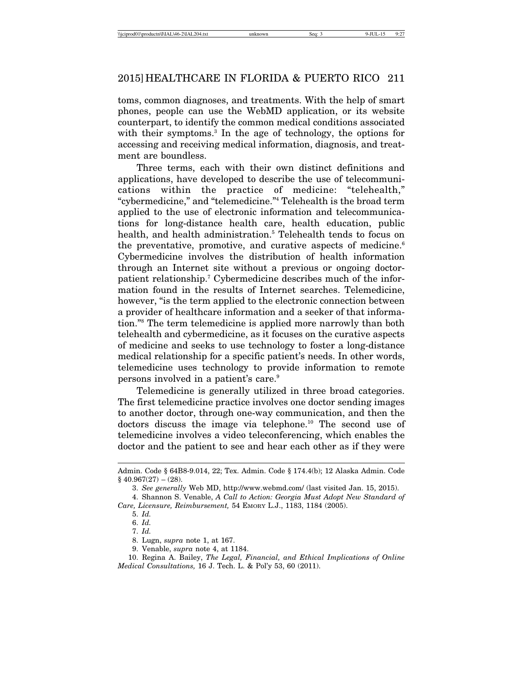toms, common diagnoses, and treatments. With the help of smart phones, people can use the WebMD application, or its website counterpart, to identify the common medical conditions associated with their symptoms.<sup>3</sup> In the age of technology, the options for accessing and receiving medical information, diagnosis, and treatment are boundless.

Three terms, each with their own distinct definitions and applications, have developed to describe the use of telecommunications within the practice of medicine: "telehealth," "cybermedicine," and "telemedicine."4 Telehealth is the broad term applied to the use of electronic information and telecommunications for long-distance health care, health education, public health, and health administration.5 Telehealth tends to focus on the preventative, promotive, and curative aspects of medicine.<sup>6</sup> Cybermedicine involves the distribution of health information through an Internet site without a previous or ongoing doctorpatient relationship.<sup>7</sup> Cybermedicine describes much of the information found in the results of Internet searches. Telemedicine, however, "is the term applied to the electronic connection between a provider of healthcare information and a seeker of that information."8 The term telemedicine is applied more narrowly than both telehealth and cybermedicine, as it focuses on the curative aspects of medicine and seeks to use technology to foster a long-distance medical relationship for a specific patient's needs. In other words, telemedicine uses technology to provide information to remote persons involved in a patient's care.9

Telemedicine is generally utilized in three broad categories. The first telemedicine practice involves one doctor sending images to another doctor, through one-way communication, and then the doctors discuss the image via telephone.10 The second use of telemedicine involves a video teleconferencing, which enables the doctor and the patient to see and hear each other as if they were

Admin. Code § 64B8-9.014, 22; Tex. Admin. Code § 174.4(b); 12 Alaska Admin. Code  $§$  40.967(27) – (28).

<sup>3.</sup> *See generally* Web MD, http://www.webmd.com/ (last visited Jan. 15, 2015).

<sup>4.</sup> Shannon S. Venable, *A Call to Action: Georgia Must Adopt New Standard of Care, Licensure, Reimbursement,* 54 EMORY L.J., 1183, 1184 (2005).

<sup>5.</sup> *Id.*

<sup>6.</sup> *Id.*

<sup>7.</sup> *Id.*

<sup>8.</sup> Lugn, *supra* note 1, at 167.

<sup>9.</sup> Venable, *supra* note 4, at 1184.

<sup>10.</sup> Regina A. Bailey, *The Legal, Financial, and Ethical Implications of Online Medical Consultations,* 16 J. Tech. L. & Pol'y 53, 60 (2011).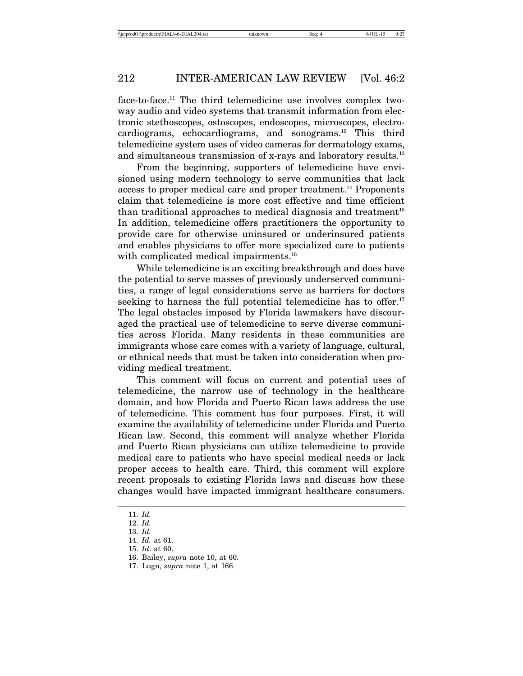face-to-face.11 The third telemedicine use involves complex twoway audio and video systems that transmit information from electronic stethoscopes, ostoscopes, endoscopes, microscopes, electrocardiograms, echocardiograms, and sonograms.<sup>12</sup> This third telemedicine system uses of video cameras for dermatology exams, and simultaneous transmission of x-rays and laboratory results.<sup>13</sup>

From the beginning, supporters of telemedicine have envisioned using modern technology to serve communities that lack access to proper medical care and proper treatment.14 Proponents claim that telemedicine is more cost effective and time efficient than traditional approaches to medical diagnosis and treatment<sup>15</sup> In addition, telemedicine offers practitioners the opportunity to provide care for otherwise uninsured or underinsured patients and enables physicians to offer more specialized care to patients with complicated medical impairments.<sup>16</sup>

While telemedicine is an exciting breakthrough and does have the potential to serve masses of previously underserved communities, a range of legal considerations serve as barriers for doctors seeking to harness the full potential telemedicine has to offer.<sup>17</sup> The legal obstacles imposed by Florida lawmakers have discouraged the practical use of telemedicine to serve diverse communities across Florida. Many residents in these communities are immigrants whose care comes with a variety of language, cultural, or ethnical needs that must be taken into consideration when providing medical treatment.

This comment will focus on current and potential uses of telemedicine, the narrow use of technology in the healthcare domain, and how Florida and Puerto Rican laws address the use of telemedicine. This comment has four purposes. First, it will examine the availability of telemedicine under Florida and Puerto Rican law. Second, this comment will analyze whether Florida and Puerto Rican physicians can utilize telemedicine to provide medical care to patients who have special medical needs or lack proper access to health care. Third, this comment will explore recent proposals to existing Florida laws and discuss how these changes would have impacted immigrant healthcare consumers.

<sup>11.</sup> *Id.*

<sup>12.</sup> *Id.*

<sup>13.</sup> *Id.*

<sup>14.</sup> *Id.* at 61.

<sup>15.</sup> *Id*. at 60.

<sup>16.</sup> Bailey, *supra* note 10, at 60.

<sup>17.</sup> Lugn, *supra* note 1, at 166.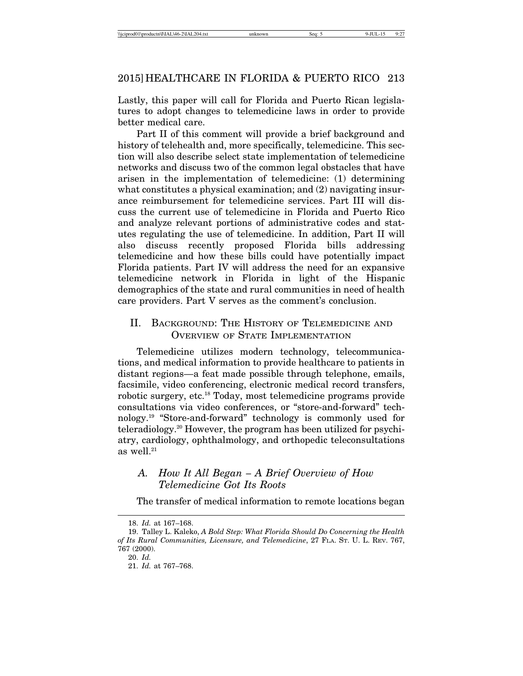Lastly, this paper will call for Florida and Puerto Rican legislatures to adopt changes to telemedicine laws in order to provide better medical care.

Part II of this comment will provide a brief background and history of telehealth and, more specifically, telemedicine. This section will also describe select state implementation of telemedicine networks and discuss two of the common legal obstacles that have arisen in the implementation of telemedicine: (1) determining what constitutes a physical examination; and (2) navigating insurance reimbursement for telemedicine services. Part III will discuss the current use of telemedicine in Florida and Puerto Rico and analyze relevant portions of administrative codes and statutes regulating the use of telemedicine. In addition, Part II will also discuss recently proposed Florida bills addressing telemedicine and how these bills could have potentially impact Florida patients. Part IV will address the need for an expansive telemedicine network in Florida in light of the Hispanic demographics of the state and rural communities in need of health care providers. Part V serves as the comment's conclusion.

# II. BACKGROUND: THE HISTORY OF TELEMEDICINE AND OVERVIEW OF STATE IMPLEMENTATION

Telemedicine utilizes modern technology, telecommunications, and medical information to provide healthcare to patients in distant regions—a feat made possible through telephone, emails, facsimile, video conferencing, electronic medical record transfers, robotic surgery, etc.18 Today, most telemedicine programs provide consultations via video conferences, or "store-and-forward" technology.19 "Store-and-forward" technology is commonly used for teleradiology.20 However, the program has been utilized for psychiatry, cardiology, ophthalmology, and orthopedic teleconsultations as well.<sup>21</sup>

# *A. How It All Began – A Brief Overview of How Telemedicine Got Its Roots*

The transfer of medical information to remote locations began

<sup>18.</sup> *Id.* at 167–168.

<sup>19.</sup> Talley L. Kaleko, *A Bold Step: What Florida Should Do Concerning the Health of Its Rural Communities, Licensure, and Telemedicine*, 27 FLA. ST. U. L. REV. 767, 767 (2000). 20. *Id.*

<sup>21.</sup> *Id.* at 767–768.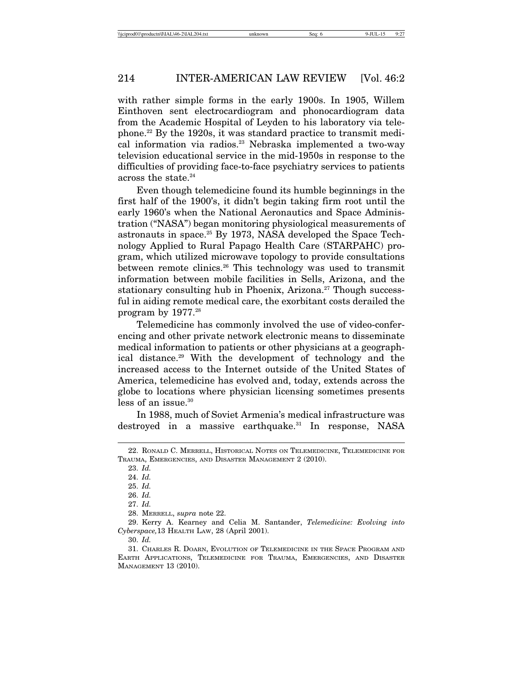with rather simple forms in the early 1900s. In 1905, Willem Einthoven sent electrocardiogram and phonocardiogram data from the Academic Hospital of Leyden to his laboratory via telephone.22 By the 1920s, it was standard practice to transmit medical information via radios.<sup>23</sup> Nebraska implemented a two-way television educational service in the mid-1950s in response to the difficulties of providing face-to-face psychiatry services to patients across the state.<sup>24</sup>

Even though telemedicine found its humble beginnings in the first half of the 1900's, it didn't begin taking firm root until the early 1960's when the National Aeronautics and Space Administration ("NASA") began monitoring physiological measurements of astronauts in space.<sup>25</sup> By 1973, NASA developed the Space Technology Applied to Rural Papago Health Care (STARPAHC) program, which utilized microwave topology to provide consultations between remote clinics.26 This technology was used to transmit information between mobile facilities in Sells, Arizona, and the stationary consulting hub in Phoenix, Arizona.<sup>27</sup> Though successful in aiding remote medical care, the exorbitant costs derailed the program by 1977.28

Telemedicine has commonly involved the use of video-conferencing and other private network electronic means to disseminate medical information to patients or other physicians at a geographical distance.29 With the development of technology and the increased access to the Internet outside of the United States of America, telemedicine has evolved and, today, extends across the globe to locations where physician licensing sometimes presents less of an issue.<sup>30</sup>

In 1988, much of Soviet Armenia's medical infrastructure was destroyed in a massive earthquake.<sup>31</sup> In response, NASA

<sup>22.</sup> RONALD C. MERRELL, HISTORICAL NOTES ON TELEMEDICINE, TELEMEDICINE FOR TRAUMA, EMERGENCIES, AND DISASTER MANAGEMENT 2 (2010).

<sup>23.</sup> *Id.*

<sup>24.</sup> *Id.*

<sup>25.</sup> *Id.*

<sup>26.</sup> *Id.*

<sup>27.</sup> *Id.*

<sup>28.</sup> MERRELL, *supra* note 22.

<sup>29.</sup> Kerry A. Kearney and Celia M. Santander, *Telemedicine: Evolving into Cyberspace,*13 HEALTH LAW, 28 (April 2001).

<sup>30.</sup> *Id.*

<sup>31.</sup> CHARLES R. DOARN, EVOLUTION OF TELEMEDICINE IN THE SPACE PROGRAM AND EARTH APPLICATIONS, TELEMEDICINE FOR TRAUMA, EMERGENCIES, AND DISASTER MANAGEMENT 13 (2010).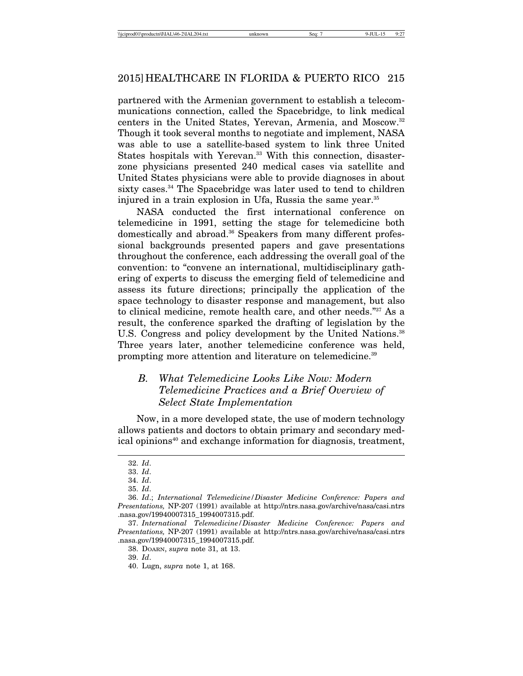partnered with the Armenian government to establish a telecommunications connection, called the Spacebridge, to link medical centers in the United States, Yerevan, Armenia, and Moscow.32 Though it took several months to negotiate and implement, NASA was able to use a satellite-based system to link three United States hospitals with Yerevan.<sup>33</sup> With this connection, disasterzone physicians presented 240 medical cases via satellite and United States physicians were able to provide diagnoses in about sixty cases.<sup>34</sup> The Spacebridge was later used to tend to children injured in a train explosion in Ufa, Russia the same year.<sup>35</sup>

NASA conducted the first international conference on telemedicine in 1991, setting the stage for telemedicine both domestically and abroad.<sup>36</sup> Speakers from many different professional backgrounds presented papers and gave presentations throughout the conference, each addressing the overall goal of the convention: to "convene an international, multidisciplinary gathering of experts to discuss the emerging field of telemedicine and assess its future directions; principally the application of the space technology to disaster response and management, but also to clinical medicine, remote health care, and other needs."37 As a result, the conference sparked the drafting of legislation by the U.S. Congress and policy development by the United Nations.<sup>38</sup> Three years later, another telemedicine conference was held, prompting more attention and literature on telemedicine.<sup>39</sup>

# *B. What Telemedicine Looks Like Now: Modern Telemedicine Practices and a Brief Overview of Select State Implementation*

Now, in a more developed state, the use of modern technology allows patients and doctors to obtain primary and secondary medical opinions<sup>40</sup> and exchange information for diagnosis, treatment,

<sup>32.</sup> *Id*.

<sup>33.</sup> *Id*.

<sup>34.</sup> *Id*.

<sup>35.</sup> *Id*.

<sup>36.</sup> *Id*.; *International Telemedicine/Disaster Medicine Conference: Papers and Presentations,* NP-207 (1991) available at http://ntrs.nasa.gov/archive/nasa/casi.ntrs .nasa.gov/19940007315\_1994007315.pdf.

<sup>37.</sup> *International Telemedicine/Disaster Medicine Conference: Papers and Presentations,* NP-207 (1991) available at http://ntrs.nasa.gov/archive/nasa/casi.ntrs .nasa.gov/19940007315\_1994007315.pdf.

<sup>38.</sup> DOARN, *supra* note 31, at 13.

<sup>39.</sup> *Id*.

<sup>40.</sup> Lugn, *supra* note 1, at 168.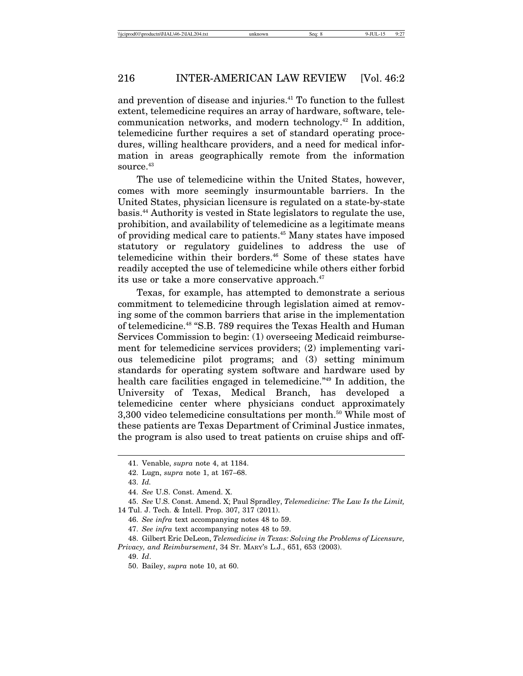and prevention of disease and injuries.<sup>41</sup> To function to the fullest extent, telemedicine requires an array of hardware, software, telecommunication networks, and modern technology.42 In addition, telemedicine further requires a set of standard operating procedures, willing healthcare providers, and a need for medical information in areas geographically remote from the information source.<sup>43</sup>

The use of telemedicine within the United States, however, comes with more seemingly insurmountable barriers. In the United States, physician licensure is regulated on a state-by-state basis.44 Authority is vested in State legislators to regulate the use, prohibition, and availability of telemedicine as a legitimate means of providing medical care to patients.45 Many states have imposed statutory or regulatory guidelines to address the use of telemedicine within their borders.46 Some of these states have readily accepted the use of telemedicine while others either forbid its use or take a more conservative approach.<sup>47</sup>

Texas, for example, has attempted to demonstrate a serious commitment to telemedicine through legislation aimed at removing some of the common barriers that arise in the implementation of telemedicine.48 "S.B. 789 requires the Texas Health and Human Services Commission to begin: (1) overseeing Medicaid reimbursement for telemedicine services providers; (2) implementing various telemedicine pilot programs; and (3) setting minimum standards for operating system software and hardware used by health care facilities engaged in telemedicine.<sup>"49</sup> In addition, the University of Texas, Medical Branch, has developed a telemedicine center where physicians conduct approximately 3,300 video telemedicine consultations per month.<sup>50</sup> While most of these patients are Texas Department of Criminal Justice inmates, the program is also used to treat patients on cruise ships and off-

<sup>41.</sup> Venable, *supra* note 4, at 1184.

<sup>42.</sup> Lugn, *supra* note 1, at 167–68.

<sup>43.</sup> *Id.*

<sup>44.</sup> *See* U.S. Const. Amend. X.

<sup>45.</sup> *See* U.S. Const. Amend. X; Paul Spradley, *Telemedicine: The Law Is the Limit,* 14 Tul. J. Tech. & Intell. Prop. 307, 317 (2011).

<sup>46.</sup> *See infra* text accompanying notes 48 to 59.

<sup>47.</sup> *See infra* text accompanying notes 48 to 59.

<sup>48.</sup> Gilbert Eric DeLeon, *Telemedicine in Texas: Solving the Problems of Licensure, Privacy, and Reimbursement*, 34 ST. MARY'S L.J., 651, 653 (2003).

<sup>49.</sup> *Id*.

<sup>50.</sup> Bailey, *supra* note 10, at 60.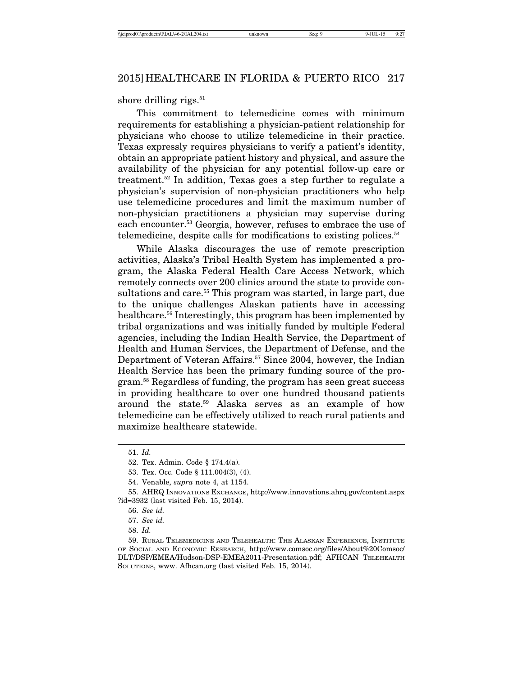shore drilling rigs. $51$ 

This commitment to telemedicine comes with minimum requirements for establishing a physician-patient relationship for physicians who choose to utilize telemedicine in their practice. Texas expressly requires physicians to verify a patient's identity, obtain an appropriate patient history and physical, and assure the availability of the physician for any potential follow-up care or treatment.52 In addition, Texas goes a step further to regulate a physician's supervision of non-physician practitioners who help use telemedicine procedures and limit the maximum number of non-physician practitioners a physician may supervise during each encounter.<sup>53</sup> Georgia, however, refuses to embrace the use of telemedicine, despite calls for modifications to existing polices. $54$ 

While Alaska discourages the use of remote prescription activities, Alaska's Tribal Health System has implemented a program, the Alaska Federal Health Care Access Network, which remotely connects over 200 clinics around the state to provide consultations and care.<sup>55</sup> This program was started, in large part, due to the unique challenges Alaskan patients have in accessing healthcare.56 Interestingly, this program has been implemented by tribal organizations and was initially funded by multiple Federal agencies, including the Indian Health Service, the Department of Health and Human Services, the Department of Defense, and the Department of Veteran Affairs.<sup>57</sup> Since 2004, however, the Indian Health Service has been the primary funding source of the program.58 Regardless of funding, the program has seen great success in providing healthcare to over one hundred thousand patients around the state.59 Alaska serves as an example of how telemedicine can be effectively utilized to reach rural patients and maximize healthcare statewide.

<sup>51.</sup> *Id.*

<sup>52.</sup> Tex. Admin. Code § 174.4(a).

<sup>53.</sup> Tex. Occ. Code § 111.004(3), (4).

<sup>54.</sup> Venable, *supra* note 4, at 1154.

<sup>55.</sup> AHRQ INNOVATIONS EXCHANGE, http://www.innovations.ahrq.gov/content.aspx ?id=3932 (last visited Feb. 15, 2014).

<sup>56.</sup> *See id.*

<sup>57.</sup> *See id.*

<sup>58.</sup> *Id.*

<sup>59.</sup> RURAL TELEMEDICINE AND TELEHEALTH: THE ALASKAN EXPERIENCE, INSTITUTE OF SOCIAL AND ECONOMIC RESEARCH, http://www.comsoc.org/files/About%20Comsoc/ DLT/DSP/EMEA/Hudson-DSP-EMEA2011-Presentation.pdf; AFHCAN TELEHEALTH SOLUTIONS, www. Afhcan.org (last visited Feb. 15, 2014).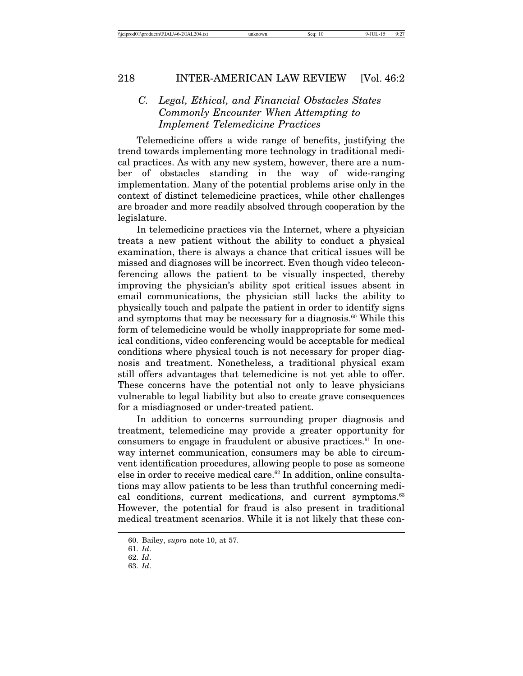# *C. Legal, Ethical, and Financial Obstacles States Commonly Encounter When Attempting to Implement Telemedicine Practices*

Telemedicine offers a wide range of benefits, justifying the trend towards implementing more technology in traditional medical practices. As with any new system, however, there are a number of obstacles standing in the way of wide-ranging implementation. Many of the potential problems arise only in the context of distinct telemedicine practices, while other challenges are broader and more readily absolved through cooperation by the legislature.

In telemedicine practices via the Internet, where a physician treats a new patient without the ability to conduct a physical examination, there is always a chance that critical issues will be missed and diagnoses will be incorrect. Even though video teleconferencing allows the patient to be visually inspected, thereby improving the physician's ability spot critical issues absent in email communications, the physician still lacks the ability to physically touch and palpate the patient in order to identify signs and symptoms that may be necessary for a diagnosis.<sup>60</sup> While this form of telemedicine would be wholly inappropriate for some medical conditions, video conferencing would be acceptable for medical conditions where physical touch is not necessary for proper diagnosis and treatment. Nonetheless, a traditional physical exam still offers advantages that telemedicine is not yet able to offer. These concerns have the potential not only to leave physicians vulnerable to legal liability but also to create grave consequences for a misdiagnosed or under-treated patient.

In addition to concerns surrounding proper diagnosis and treatment, telemedicine may provide a greater opportunity for consumers to engage in fraudulent or abusive practices. $61$  In oneway internet communication, consumers may be able to circumvent identification procedures, allowing people to pose as someone else in order to receive medical care.62 In addition, online consultations may allow patients to be less than truthful concerning medical conditions, current medications, and current symptoms.<sup>63</sup> However, the potential for fraud is also present in traditional medical treatment scenarios. While it is not likely that these con-

<sup>60.</sup> Bailey, *supra* note 10, at 57.

<sup>61.</sup> *Id*.

<sup>62.</sup> *Id*.

<sup>63.</sup> *Id*.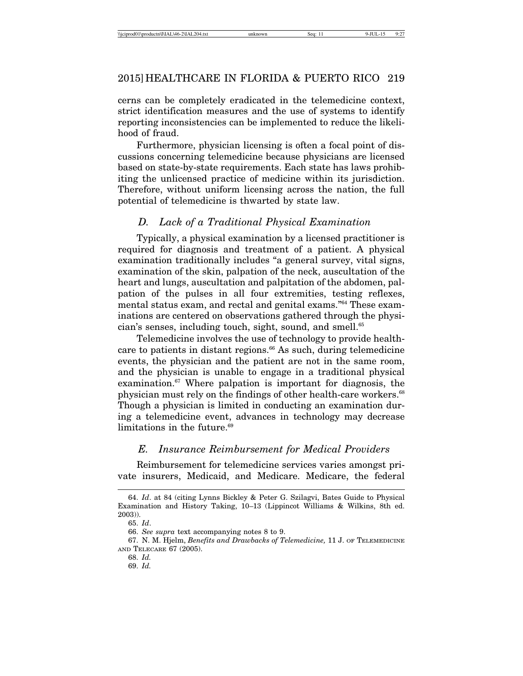cerns can be completely eradicated in the telemedicine context, strict identification measures and the use of systems to identify reporting inconsistencies can be implemented to reduce the likelihood of fraud.

Furthermore, physician licensing is often a focal point of discussions concerning telemedicine because physicians are licensed based on state-by-state requirements. Each state has laws prohibiting the unlicensed practice of medicine within its jurisdiction. Therefore, without uniform licensing across the nation, the full potential of telemedicine is thwarted by state law.

# *D. Lack of a Traditional Physical Examination*

Typically, a physical examination by a licensed practitioner is required for diagnosis and treatment of a patient. A physical examination traditionally includes "a general survey, vital signs, examination of the skin, palpation of the neck, auscultation of the heart and lungs, auscultation and palpitation of the abdomen, palpation of the pulses in all four extremities, testing reflexes, mental status exam, and rectal and genital exams."64 These examinations are centered on observations gathered through the physician's senses, including touch, sight, sound, and smell.<sup>65</sup>

Telemedicine involves the use of technology to provide healthcare to patients in distant regions.<sup>66</sup> As such, during telemedicine events, the physician and the patient are not in the same room, and the physician is unable to engage in a traditional physical examination.67 Where palpation is important for diagnosis, the physician must rely on the findings of other health-care workers.<sup>68</sup> Though a physician is limited in conducting an examination during a telemedicine event, advances in technology may decrease limitations in the future.<sup>69</sup>

#### *E. Insurance Reimbursement for Medical Providers*

Reimbursement for telemedicine services varies amongst private insurers, Medicaid, and Medicare. Medicare, the federal

<sup>64.</sup> *Id*. at 84 (citing Lynns Bickley & Peter G. Szilagvi, Bates Guide to Physical Examination and History Taking, 10–13 (Lippincot Williams & Wilkins, 8th ed. 2003)).

<sup>65.</sup> *Id*.

<sup>66.</sup> *See supra* text accompanying notes 8 to 9.

<sup>67.</sup> N. M. Hjelm, *Benefits and Drawbacks of Telemedicine,* 11 J. OF TELEMEDICINE AND TELECARE 67 (2005).

<sup>68.</sup> *Id.*

<sup>69.</sup> *Id.*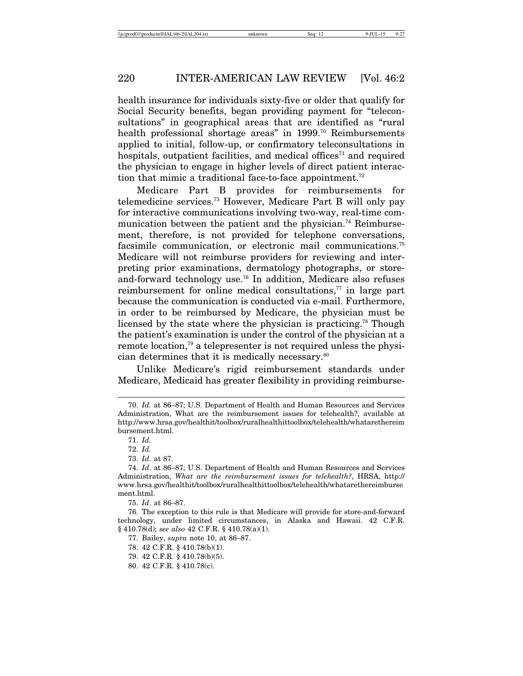health insurance for individuals sixty-five or older that qualify for Social Security benefits, began providing payment for "teleconsultations" in geographical areas that are identified as "rural health professional shortage areas" in 1999.<sup>70</sup> Reimbursements applied to initial, follow-up, or confirmatory teleconsultations in hospitals, outpatient facilities, and medical offices<sup> $71$ </sup> and required the physician to engage in higher levels of direct patient interaction that mimic a traditional face-to-face appointment.<sup>72</sup>

Medicare Part B provides for reimbursements for telemedicine services.73 However, Medicare Part B will only pay for interactive communications involving two-way, real-time communication between the patient and the physician.<sup>74</sup> Reimbursement, therefore, is not provided for telephone conversations, facsimile communication, or electronic mail communications.<sup>75</sup> Medicare will not reimburse providers for reviewing and interpreting prior examinations, dermatology photographs, or storeand-forward technology use.76 In addition, Medicare also refuses reimbursement for online medical consultations, $77$  in large part because the communication is conducted via e-mail. Furthermore, in order to be reimbursed by Medicare, the physician must be licensed by the state where the physician is practicing.<sup>78</sup> Though the patient's examination is under the control of the physician at a remote location,79 a telepresenter is not required unless the physician determines that it is medically necessary.<sup>80</sup>

Unlike Medicare's rigid reimbursement standards under Medicare, Medicaid has greater flexibility in providing reimburse-

<sup>70.</sup> *Id.* at 86–87; U.S. Department of Health and Human Resources and Services Administration, What are the reimbursement issues for telehealth?, available at http://www.hrsa.gov/healthit/toolbox/ruralhealthittoolbox/telehealth/whatarethereim bursement.html.

<sup>71.</sup> *Id.*

<sup>72.</sup> *Id.*

<sup>73.</sup> *Id*. at 87.

<sup>74.</sup> *Id*. at 86–87; U.S. Department of Health and Human Resources and Services Administration, *What are the reimbursement issues for telehealth?*, HRSA, http:// www.hrsa.gov/healthit/toolbox/ruralhealthittoolbox/telehealth/whatarethereimburse ment.html.

<sup>75.</sup> *Id*. at 86–87.

<sup>76.</sup> The exception to this rule is that Medicare will provide for store-and-forward technology, under limited circumstances, in Alaska and Hawaii. 42 C.F.R. § 410.78(d); *see also* 42 C.F.R. § 410.78(a)(1).

<sup>77.</sup> Bailey, *supra* note 10, at 86–87.

<sup>78. 42</sup> C.F.R. § 410.78(b)(1).

<sup>79. 42</sup> C.F.R. § 410.78(b)(5).

<sup>80. 42</sup> C.F.R. § 410.78(c).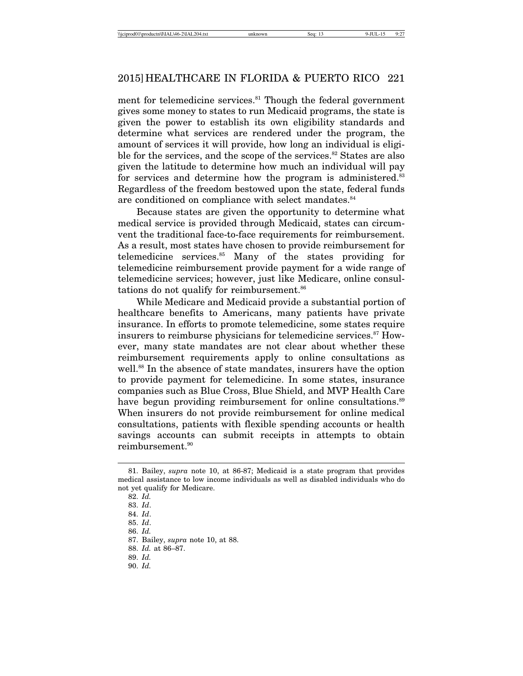ment for telemedicine services.<sup>81</sup> Though the federal government gives some money to states to run Medicaid programs, the state is given the power to establish its own eligibility standards and determine what services are rendered under the program, the amount of services it will provide, how long an individual is eligible for the services, and the scope of the services.<sup>82</sup> States are also given the latitude to determine how much an individual will pay for services and determine how the program is administered.<sup>83</sup> Regardless of the freedom bestowed upon the state, federal funds are conditioned on compliance with select mandates.<sup>84</sup>

Because states are given the opportunity to determine what medical service is provided through Medicaid, states can circumvent the traditional face-to-face requirements for reimbursement. As a result, most states have chosen to provide reimbursement for telemedicine services.85 Many of the states providing for telemedicine reimbursement provide payment for a wide range of telemedicine services; however, just like Medicare, online consultations do not qualify for reimbursement.<sup>86</sup>

While Medicare and Medicaid provide a substantial portion of healthcare benefits to Americans, many patients have private insurance. In efforts to promote telemedicine, some states require insurers to reimburse physicians for telemedicine services.<sup>87</sup> However, many state mandates are not clear about whether these reimbursement requirements apply to online consultations as well.<sup>88</sup> In the absence of state mandates, insurers have the option to provide payment for telemedicine. In some states, insurance companies such as Blue Cross, Blue Shield, and MVP Health Care have begun providing reimbursement for online consultations.<sup>89</sup> When insurers do not provide reimbursement for online medical consultations, patients with flexible spending accounts or health savings accounts can submit receipts in attempts to obtain reimbursement.90

88. *Id.* at 86–87.

90. *Id.*

<sup>81.</sup> Bailey, *supra* note 10, at 86-87; Medicaid is a state program that provides medical assistance to low income individuals as well as disabled individuals who do not yet qualify for Medicare.

<sup>82.</sup> *Id.*

<sup>83.</sup> *Id*.

<sup>84.</sup> *Id*.

<sup>85.</sup> *Id*.

<sup>86.</sup> *Id.*

<sup>87.</sup> Bailey, *supra* note 10, at 88.

<sup>89.</sup> *Id.*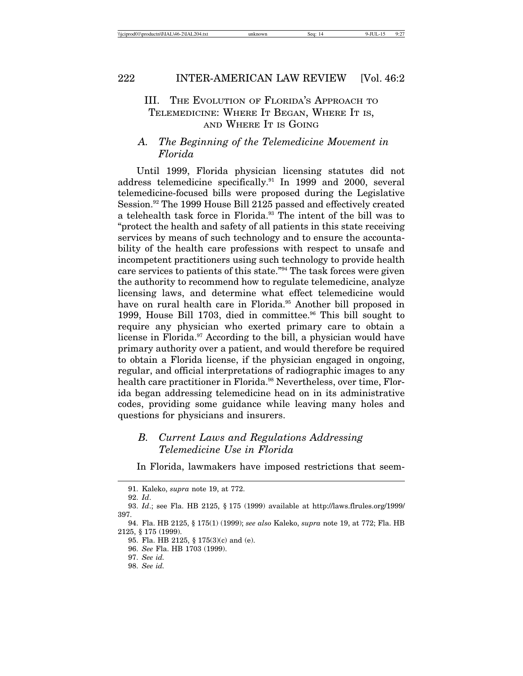# III. THE EVOLUTION OF FLORIDA'S APPROACH TO TELEMEDICINE: WHERE IT BEGAN, WHERE IT IS, AND WHERE IT IS GOING

# *A. The Beginning of the Telemedicine Movement in Florida*

Until 1999, Florida physician licensing statutes did not address telemedicine specifically.91 In 1999 and 2000, several telemedicine-focused bills were proposed during the Legislative Session.92 The 1999 House Bill 2125 passed and effectively created a telehealth task force in Florida.93 The intent of the bill was to "protect the health and safety of all patients in this state receiving services by means of such technology and to ensure the accountability of the health care professions with respect to unsafe and incompetent practitioners using such technology to provide health care services to patients of this state."94 The task forces were given the authority to recommend how to regulate telemedicine, analyze licensing laws, and determine what effect telemedicine would have on rural health care in Florida.<sup>95</sup> Another bill proposed in 1999, House Bill 1703, died in committee.<sup>96</sup> This bill sought to require any physician who exerted primary care to obtain a license in Florida.<sup>97</sup> According to the bill, a physician would have primary authority over a patient, and would therefore be required to obtain a Florida license, if the physician engaged in ongoing, regular, and official interpretations of radiographic images to any health care practitioner in Florida.<sup>98</sup> Nevertheless, over time, Florida began addressing telemedicine head on in its administrative codes, providing some guidance while leaving many holes and questions for physicians and insurers.

# *B. Current Laws and Regulations Addressing Telemedicine Use in Florida*

In Florida, lawmakers have imposed restrictions that seem-

<sup>91.</sup> Kaleko, *supra* note 19, at 772.

<sup>92.</sup> *Id*.

<sup>93.</sup> *Id*.; see Fla. HB 2125, § 175 (1999) available at http://laws.flrules.org/1999/ 397.

<sup>94.</sup> Fla. HB 2125, § 175(1) (1999); *see also* Kaleko, *supra* note 19, at 772; Fla. HB 2125, § 175 (1999).

<sup>95.</sup> Fla. HB 2125, § 175(3)(c) and (e).

<sup>96.</sup> *See* Fla. HB 1703 (1999).

<sup>97.</sup> *See id.*

<sup>98.</sup> *See id.*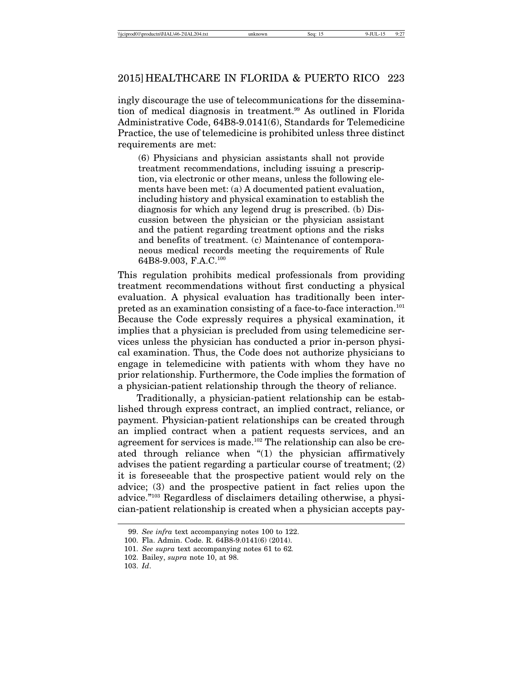ingly discourage the use of telecommunications for the dissemination of medical diagnosis in treatment.<sup>99</sup> As outlined in Florida Administrative Code, 64B8-9.0141(6), Standards for Telemedicine Practice, the use of telemedicine is prohibited unless three distinct requirements are met:

(6) Physicians and physician assistants shall not provide treatment recommendations, including issuing a prescription, via electronic or other means, unless the following elements have been met: (a) A documented patient evaluation, including history and physical examination to establish the diagnosis for which any legend drug is prescribed. (b) Discussion between the physician or the physician assistant and the patient regarding treatment options and the risks and benefits of treatment. (c) Maintenance of contemporaneous medical records meeting the requirements of Rule 64B8-9.003, F.A.C.100

This regulation prohibits medical professionals from providing treatment recommendations without first conducting a physical evaluation. A physical evaluation has traditionally been interpreted as an examination consisting of a face-to-face interaction.101 Because the Code expressly requires a physical examination, it implies that a physician is precluded from using telemedicine services unless the physician has conducted a prior in-person physical examination. Thus, the Code does not authorize physicians to engage in telemedicine with patients with whom they have no prior relationship. Furthermore, the Code implies the formation of a physician-patient relationship through the theory of reliance.

Traditionally, a physician-patient relationship can be established through express contract, an implied contract, reliance, or payment. Physician-patient relationships can be created through an implied contract when a patient requests services, and an agreement for services is made.<sup>102</sup> The relationship can also be created through reliance when "(1) the physician affirmatively advises the patient regarding a particular course of treatment; (2) it is foreseeable that the prospective patient would rely on the advice; (3) and the prospective patient in fact relies upon the advice."103 Regardless of disclaimers detailing otherwise, a physician-patient relationship is created when a physician accepts pay-

<sup>99.</sup> *See infra* text accompanying notes 100 to 122.

<sup>100.</sup> Fla. Admin. Code. R. 64B8-9.0141(6) (2014).

<sup>101.</sup> *See supra* text accompanying notes 61 to 62*.*

<sup>102.</sup> Bailey, *supra* note 10, at 98.

<sup>103.</sup> *Id*.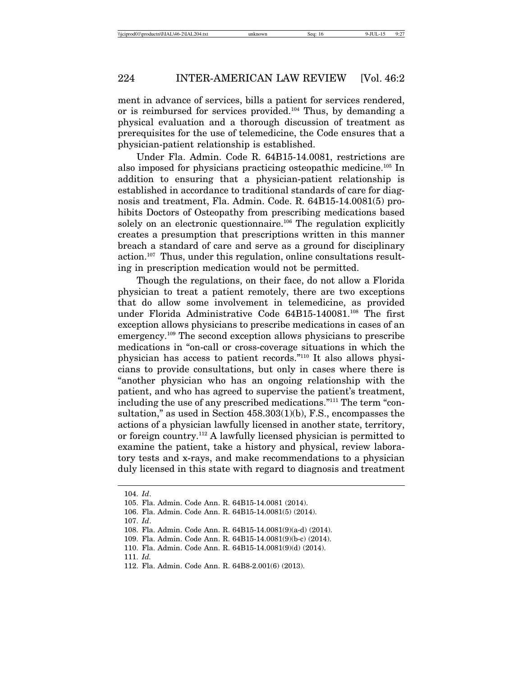ment in advance of services, bills a patient for services rendered, or is reimbursed for services provided.104 Thus, by demanding a physical evaluation and a thorough discussion of treatment as prerequisites for the use of telemedicine, the Code ensures that a physician-patient relationship is established.

Under Fla. Admin. Code R. 64B15-14.0081, restrictions are also imposed for physicians practicing osteopathic medicine.105 In addition to ensuring that a physician-patient relationship is established in accordance to traditional standards of care for diagnosis and treatment, Fla. Admin. Code. R. 64B15-14.0081(5) prohibits Doctors of Osteopathy from prescribing medications based solely on an electronic questionnaire.<sup>106</sup> The regulation explicitly creates a presumption that prescriptions written in this manner breach a standard of care and serve as a ground for disciplinary action.107 Thus, under this regulation, online consultations resulting in prescription medication would not be permitted.

Though the regulations, on their face, do not allow a Florida physician to treat a patient remotely, there are two exceptions that do allow some involvement in telemedicine, as provided under Florida Administrative Code 64B15-140081.<sup>108</sup> The first exception allows physicians to prescribe medications in cases of an emergency.109 The second exception allows physicians to prescribe medications in "on-call or cross-coverage situations in which the physician has access to patient records."110 It also allows physicians to provide consultations, but only in cases where there is "another physician who has an ongoing relationship with the patient, and who has agreed to supervise the patient's treatment, including the use of any prescribed medications."111 The term "consultation," as used in Section 458.303(1)(b), F.S., encompasses the actions of a physician lawfully licensed in another state, territory, or foreign country.112 A lawfully licensed physician is permitted to examine the patient, take a history and physical, review laboratory tests and x-rays, and make recommendations to a physician duly licensed in this state with regard to diagnosis and treatment

107. *Id*.

111. *Id.*

<sup>104.</sup> *Id*.

<sup>105.</sup> Fla. Admin. Code Ann. R. 64B15-14.0081 (2014).

<sup>106.</sup> Fla. Admin. Code Ann. R. 64B15-14.0081(5) (2014).

<sup>108.</sup> Fla. Admin. Code Ann. R. 64B15-14.0081(9)(a-d) (2014).

<sup>109.</sup> Fla. Admin. Code Ann. R. 64B15-14.0081(9)(b-c) (2014).

<sup>110.</sup> Fla. Admin. Code Ann. R. 64B15-14.0081(9)(d) (2014).

<sup>112.</sup> Fla. Admin. Code Ann. R. 64B8-2.001(6) (2013).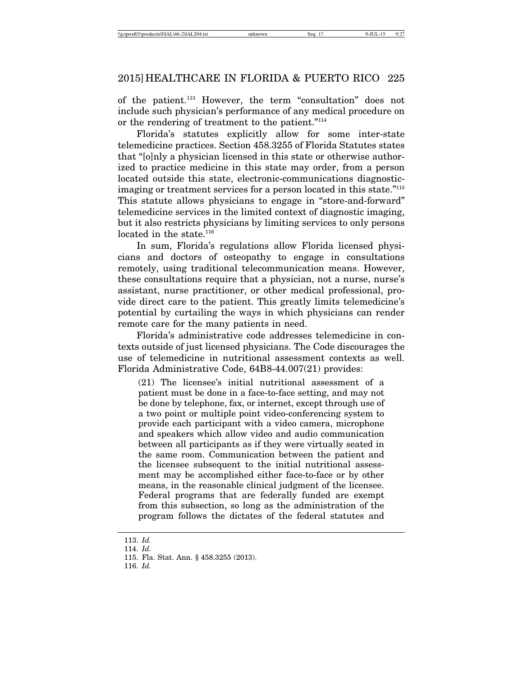of the patient.113 However, the term "consultation" does not include such physician's performance of any medical procedure on or the rendering of treatment to the patient."114

Florida's statutes explicitly allow for some inter-state telemedicine practices. Section 458.3255 of Florida Statutes states that "[o]nly a physician licensed in this state or otherwise authorized to practice medicine in this state may order, from a person located outside this state, electronic-communications diagnosticimaging or treatment services for a person located in this state."115 This statute allows physicians to engage in "store-and-forward" telemedicine services in the limited context of diagnostic imaging, but it also restricts physicians by limiting services to only persons located in the state.<sup>116</sup>

In sum, Florida's regulations allow Florida licensed physicians and doctors of osteopathy to engage in consultations remotely, using traditional telecommunication means. However, these consultations require that a physician, not a nurse, nurse's assistant, nurse practitioner, or other medical professional, provide direct care to the patient. This greatly limits telemedicine's potential by curtailing the ways in which physicians can render remote care for the many patients in need.

Florida's administrative code addresses telemedicine in contexts outside of just licensed physicians. The Code discourages the use of telemedicine in nutritional assessment contexts as well. Florida Administrative Code, 64B8-44.007(21) provides:

(21) The licensee's initial nutritional assessment of a patient must be done in a face-to-face setting, and may not be done by telephone, fax, or internet, except through use of a two point or multiple point video-conferencing system to provide each participant with a video camera, microphone and speakers which allow video and audio communication between all participants as if they were virtually seated in the same room. Communication between the patient and the licensee subsequent to the initial nutritional assessment may be accomplished either face-to-face or by other means, in the reasonable clinical judgment of the licensee. Federal programs that are federally funded are exempt from this subsection, so long as the administration of the program follows the dictates of the federal statutes and

116. *Id.*

<sup>113.</sup> *Id.*

<sup>114.</sup> *Id.*

<sup>115.</sup> Fla. Stat. Ann. § 458.3255 (2013).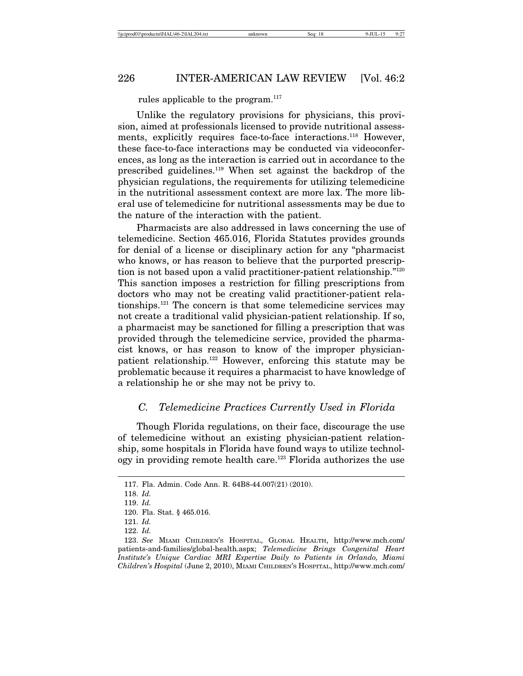rules applicable to the program.<sup>117</sup>

Unlike the regulatory provisions for physicians, this provision, aimed at professionals licensed to provide nutritional assessments, explicitly requires face-to-face interactions.<sup>118</sup> However, these face-to-face interactions may be conducted via videoconferences, as long as the interaction is carried out in accordance to the prescribed guidelines.119 When set against the backdrop of the physician regulations, the requirements for utilizing telemedicine in the nutritional assessment context are more lax. The more liberal use of telemedicine for nutritional assessments may be due to the nature of the interaction with the patient.

Pharmacists are also addressed in laws concerning the use of telemedicine. Section 465.016, Florida Statutes provides grounds for denial of a license or disciplinary action for any "pharmacist who knows, or has reason to believe that the purported prescription is not based upon a valid practitioner-patient relationship."120 This sanction imposes a restriction for filling prescriptions from doctors who may not be creating valid practitioner-patient relationships.121 The concern is that some telemedicine services may not create a traditional valid physician-patient relationship. If so, a pharmacist may be sanctioned for filling a prescription that was provided through the telemedicine service, provided the pharmacist knows, or has reason to know of the improper physicianpatient relationship.122 However, enforcing this statute may be problematic because it requires a pharmacist to have knowledge of a relationship he or she may not be privy to.

# *C. Telemedicine Practices Currently Used in Florida*

Though Florida regulations, on their face, discourage the use of telemedicine without an existing physician-patient relationship, some hospitals in Florida have found ways to utilize technology in providing remote health care.<sup>123</sup> Florida authorizes the use

<sup>117.</sup> Fla. Admin. Code Ann. R. 64B8-44.007(21) (2010).

<sup>118.</sup> *Id.*

<sup>119.</sup> *Id.*

<sup>120.</sup> Fla. Stat. § 465.016.

<sup>121.</sup> *Id.*

<sup>122.</sup> *Id.*

<sup>123.</sup> *See* MIAMI CHILDREN'S HOSPITAL, GLOBAL HEALTH, http://www.mch.com/ patients-and-families/global-health.aspx; *Telemedicine Brings Congenital Heart Institute's Unique Cardiac MRI Expertise Daily to Patients in Orlando, Miami Children's Hospital* (June 2, 2010), MIAMI CHILDREN'S HOSPITAL, http://www.mch.com/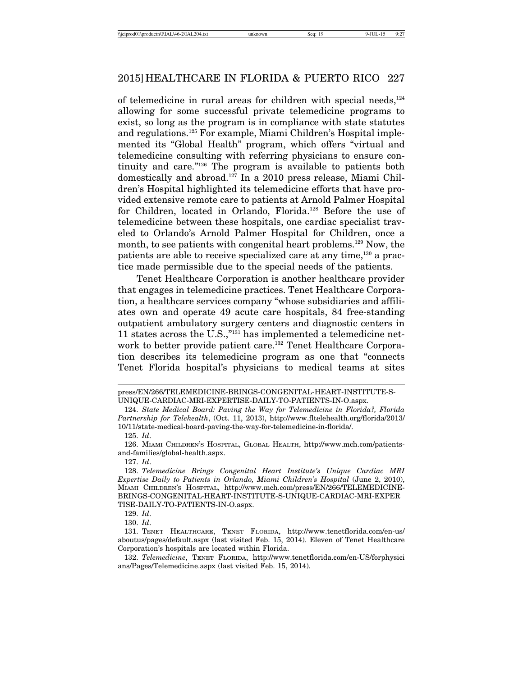of telemedicine in rural areas for children with special needs, $124$ allowing for some successful private telemedicine programs to exist, so long as the program is in compliance with state statutes and regulations.<sup>125</sup> For example, Miami Children's Hospital implemented its "Global Health" program, which offers "virtual and telemedicine consulting with referring physicians to ensure continuity and care."126 The program is available to patients both domestically and abroad.127 In a 2010 press release, Miami Children's Hospital highlighted its telemedicine efforts that have provided extensive remote care to patients at Arnold Palmer Hospital for Children, located in Orlando, Florida.128 Before the use of telemedicine between these hospitals, one cardiac specialist traveled to Orlando's Arnold Palmer Hospital for Children, once a month, to see patients with congenital heart problems.<sup>129</sup> Now, the patients are able to receive specialized care at any time,<sup>130</sup> a practice made permissible due to the special needs of the patients.

Tenet Healthcare Corporation is another healthcare provider that engages in telemedicine practices. Tenet Healthcare Corporation, a healthcare services company "whose subsidiaries and affiliates own and operate 49 acute care hospitals, 84 free-standing outpatient ambulatory surgery centers and diagnostic centers in 11 states across the U.S.,"131 has implemented a telemedicine network to better provide patient care.<sup>132</sup> Tenet Healthcare Corporation describes its telemedicine program as one that "connects Tenet Florida hospital's physicians to medical teams at sites

press/EN/266/TELEMEDICINE-BRINGS-CONGENITAL-HEART-INSTITUTE-S-UNIQUE-CARDIAC-MRI-EXPERTISE-DAILY-TO-PATIENTS-IN-O.aspx.

<sup>124.</sup> *State Medical Board: Paving the Way for Telemedicine in Florida?, Florida Partnership for Telehealth*, (Oct. 11, 2013), http://www.fltelehealth.org/florida/2013/ 10/11/state-medical-board-paving-the-way-for-telemedicine-in-florida/.

<sup>125.</sup> *Id*.

<sup>126.</sup> MIAMI CHILDREN'S HOSPITAL, GLOBAL HEALTH, http://www.mch.com/patientsand-families/global-health.aspx.

<sup>127.</sup> *Id*.

<sup>128.</sup> *Telemedicine Brings Congenital Heart Institute's Unique Cardiac MRI Expertise Daily to Patients in Orlando, Miami Children's Hospital (June 2, 2010),* MIAMI CHILDREN'S HOSPITAL, http://www.mch.com/press/EN/266/TELEMEDICINE-BRINGS-CONGENITAL-HEART-INSTITUTE-S-UNIQUE-CARDIAC-MRI-EXPER TISE-DAILY-TO-PATIENTS-IN-O.aspx.

<sup>129.</sup> *Id*.

<sup>130.</sup> *Id*.

<sup>131.</sup> TENET HEALTHCARE, TENET FLORIDA, http://www.tenetflorida.com/en-us/ aboutus/pages/default.aspx (last visited Feb. 15, 2014). Eleven of Tenet Healthcare Corporation's hospitals are located within Florida.

<sup>132.</sup> *Telemedicine*, TENET FLORIDA, http://www.tenetflorida.com/en-US/forphysici ans/Pages/Telemedicine.aspx (last visited Feb. 15, 2014).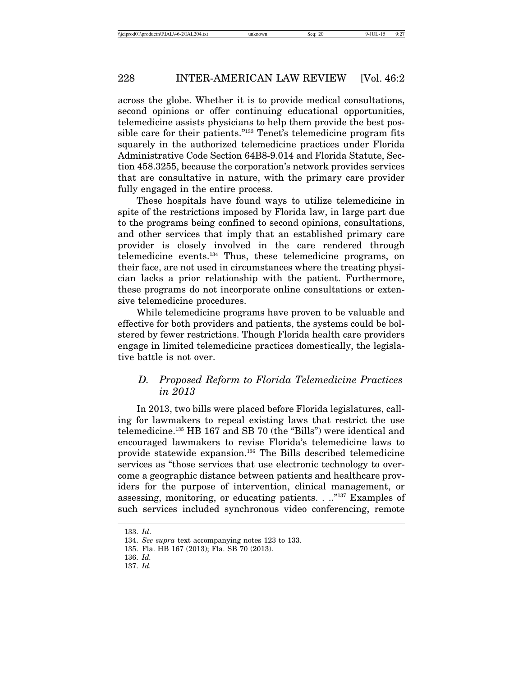across the globe. Whether it is to provide medical consultations, second opinions or offer continuing educational opportunities, telemedicine assists physicians to help them provide the best possible care for their patients."133 Tenet's telemedicine program fits squarely in the authorized telemedicine practices under Florida Administrative Code Section 64B8-9.014 and Florida Statute, Section 458.3255, because the corporation's network provides services that are consultative in nature, with the primary care provider fully engaged in the entire process.

These hospitals have found ways to utilize telemedicine in spite of the restrictions imposed by Florida law, in large part due to the programs being confined to second opinions, consultations, and other services that imply that an established primary care provider is closely involved in the care rendered through telemedicine events.134 Thus, these telemedicine programs, on their face, are not used in circumstances where the treating physician lacks a prior relationship with the patient. Furthermore, these programs do not incorporate online consultations or extensive telemedicine procedures.

While telemedicine programs have proven to be valuable and effective for both providers and patients, the systems could be bolstered by fewer restrictions. Though Florida health care providers engage in limited telemedicine practices domestically, the legislative battle is not over.

# *D. Proposed Reform to Florida Telemedicine Practices in 2013*

In 2013, two bills were placed before Florida legislatures, calling for lawmakers to repeal existing laws that restrict the use telemedicine.135 HB 167 and SB 70 (the "Bills") were identical and encouraged lawmakers to revise Florida's telemedicine laws to provide statewide expansion.136 The Bills described telemedicine services as "those services that use electronic technology to overcome a geographic distance between patients and healthcare providers for the purpose of intervention, clinical management, or assessing, monitoring, or educating patients. . .."137 Examples of such services included synchronous video conferencing, remote

<sup>133.</sup> *Id*.

<sup>134.</sup> *See supra* text accompanying notes 123 to 133.

<sup>135.</sup> Fla. HB 167 (2013); Fla. SB 70 (2013).

<sup>136.</sup> *Id.*

<sup>137.</sup> *Id.*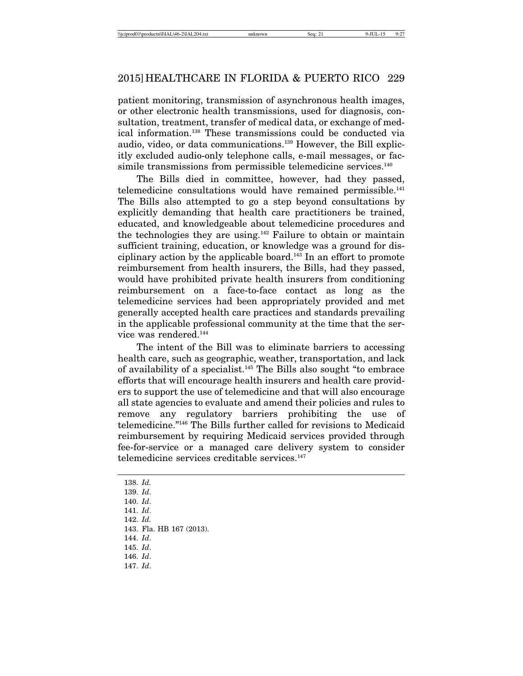patient monitoring, transmission of asynchronous health images, or other electronic health transmissions, used for diagnosis, consultation, treatment, transfer of medical data, or exchange of medical information.138 These transmissions could be conducted via audio, video, or data communications.139 However, the Bill explicitly excluded audio-only telephone calls, e-mail messages, or facsimile transmissions from permissible telemedicine services.<sup>140</sup>

The Bills died in committee, however, had they passed, telemedicine consultations would have remained permissible.<sup>141</sup> The Bills also attempted to go a step beyond consultations by explicitly demanding that health care practitioners be trained, educated, and knowledgeable about telemedicine procedures and the technologies they are using. $142$  Failure to obtain or maintain sufficient training, education, or knowledge was a ground for disciplinary action by the applicable board.143 In an effort to promote reimbursement from health insurers, the Bills, had they passed, would have prohibited private health insurers from conditioning reimbursement on a face-to-face contact as long as the telemedicine services had been appropriately provided and met generally accepted health care practices and standards prevailing in the applicable professional community at the time that the service was rendered.<sup>144</sup>

The intent of the Bill was to eliminate barriers to accessing health care, such as geographic, weather, transportation, and lack of availability of a specialist.145 The Bills also sought "to embrace efforts that will encourage health insurers and health care providers to support the use of telemedicine and that will also encourage all state agencies to evaluate and amend their policies and rules to remove any regulatory barriers prohibiting the use of telemedicine."146 The Bills further called for revisions to Medicaid reimbursement by requiring Medicaid services provided through fee-for-service or a managed care delivery system to consider telemedicine services creditable services.147

<sup>138.</sup> *Id.*

<sup>139.</sup> *Id*.

<sup>140.</sup> *Id*.

<sup>141.</sup> *Id*.

<sup>142.</sup> *Id.*

<sup>143.</sup> Fla. HB 167 (2013).

<sup>144.</sup> *Id*.

<sup>145.</sup> *Id*.

<sup>146.</sup> *Id*. 147. *Id*.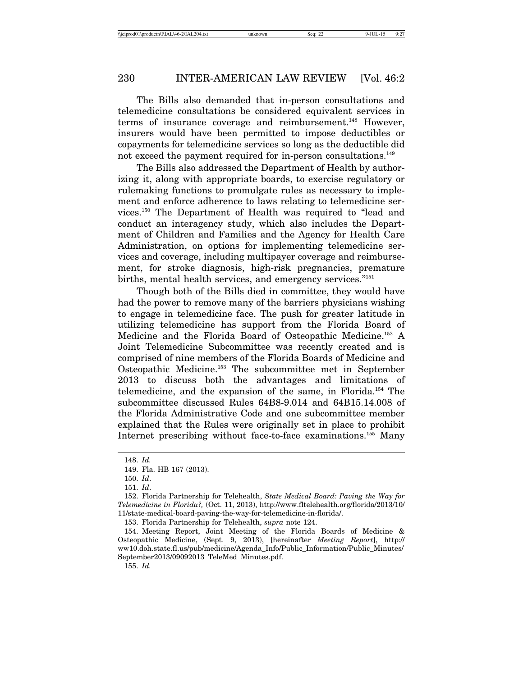The Bills also demanded that in-person consultations and telemedicine consultations be considered equivalent services in terms of insurance coverage and reimbursement.<sup>148</sup> However, insurers would have been permitted to impose deductibles or copayments for telemedicine services so long as the deductible did not exceed the payment required for in-person consultations.<sup>149</sup>

The Bills also addressed the Department of Health by authorizing it, along with appropriate boards, to exercise regulatory or rulemaking functions to promulgate rules as necessary to implement and enforce adherence to laws relating to telemedicine services.150 The Department of Health was required to "lead and conduct an interagency study, which also includes the Department of Children and Families and the Agency for Health Care Administration, on options for implementing telemedicine services and coverage, including multipayer coverage and reimbursement, for stroke diagnosis, high-risk pregnancies, premature births, mental health services, and emergency services."151

Though both of the Bills died in committee, they would have had the power to remove many of the barriers physicians wishing to engage in telemedicine face. The push for greater latitude in utilizing telemedicine has support from the Florida Board of Medicine and the Florida Board of Osteopathic Medicine.152 A Joint Telemedicine Subcommittee was recently created and is comprised of nine members of the Florida Boards of Medicine and Osteopathic Medicine.153 The subcommittee met in September 2013 to discuss both the advantages and limitations of telemedicine, and the expansion of the same, in Florida.154 The subcommittee discussed Rules 64B8-9.014 and 64B15.14.008 of the Florida Administrative Code and one subcommittee member explained that the Rules were originally set in place to prohibit Internet prescribing without face-to-face examinations.155 Many

155. *Id.*

<sup>148.</sup> *Id.*

<sup>149.</sup> Fla. HB 167 (2013).

<sup>150.</sup> *Id*.

<sup>151.</sup> *Id*.

<sup>152.</sup> Florida Partnership for Telehealth, *State Medical Board: Paving the Way for Telemedicine in Florida?,* (Oct. 11, 2013), http://www.fltelehealth.org/florida/2013/10/ 11/state-medical-board-paving-the-way-for-telemedicine-in-florida/.

<sup>153.</sup> Florida Partnership for Telehealth, *supra* note 124.

<sup>154.</sup> Meeting Report, Joint Meeting of the Florida Boards of Medicine & Osteopathic Medicine, (Sept. 9, 2013), [hereinafter *Meeting Report*], http:// ww10.doh.state.fl.us/pub/medicine/Agenda\_Info/Public\_Information/Public\_Minutes/ September2013/09092013\_TeleMed\_Minutes.pdf.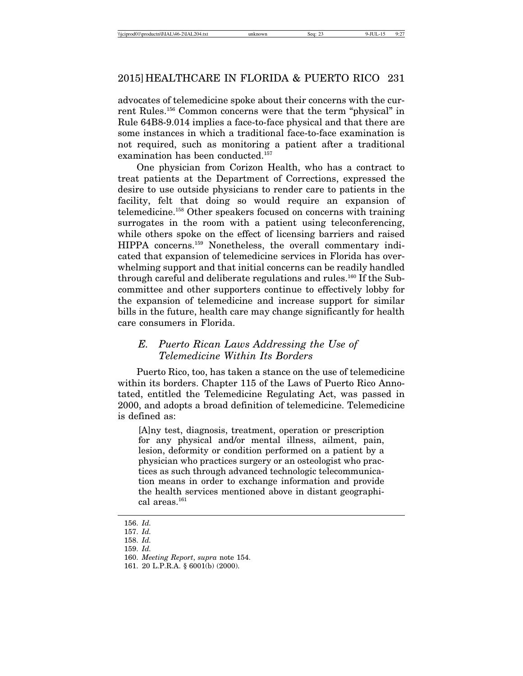advocates of telemedicine spoke about their concerns with the current Rules.156 Common concerns were that the term "physical" in Rule 64B8-9.014 implies a face-to-face physical and that there are some instances in which a traditional face-to-face examination is not required, such as monitoring a patient after a traditional examination has been conducted.157

One physician from Corizon Health, who has a contract to treat patients at the Department of Corrections, expressed the desire to use outside physicians to render care to patients in the facility, felt that doing so would require an expansion of telemedicine.158 Other speakers focused on concerns with training surrogates in the room with a patient using teleconferencing, while others spoke on the effect of licensing barriers and raised HIPPA concerns.159 Nonetheless, the overall commentary indicated that expansion of telemedicine services in Florida has overwhelming support and that initial concerns can be readily handled through careful and deliberate regulations and rules.<sup>160</sup> If the Subcommittee and other supporters continue to effectively lobby for the expansion of telemedicine and increase support for similar bills in the future, health care may change significantly for health care consumers in Florida.

# *E. Puerto Rican Laws Addressing the Use of Telemedicine Within Its Borders*

Puerto Rico, too, has taken a stance on the use of telemedicine within its borders. Chapter 115 of the Laws of Puerto Rico Annotated, entitled the Telemedicine Regulating Act, was passed in 2000, and adopts a broad definition of telemedicine. Telemedicine is defined as:

[A]ny test, diagnosis, treatment, operation or prescription for any physical and/or mental illness, ailment, pain, lesion, deformity or condition performed on a patient by a physician who practices surgery or an osteologist who practices as such through advanced technologic telecommunication means in order to exchange information and provide the health services mentioned above in distant geographical areas. $^{161}$ 

<sup>156.</sup> *Id.*

<sup>157.</sup> *Id.*

<sup>158.</sup> *Id.*

<sup>159.</sup> *Id.*

<sup>160.</sup> *Meeting Report*, *supra* note 154.

<sup>161. 20</sup> L.P.R.A. § 6001(b) (2000).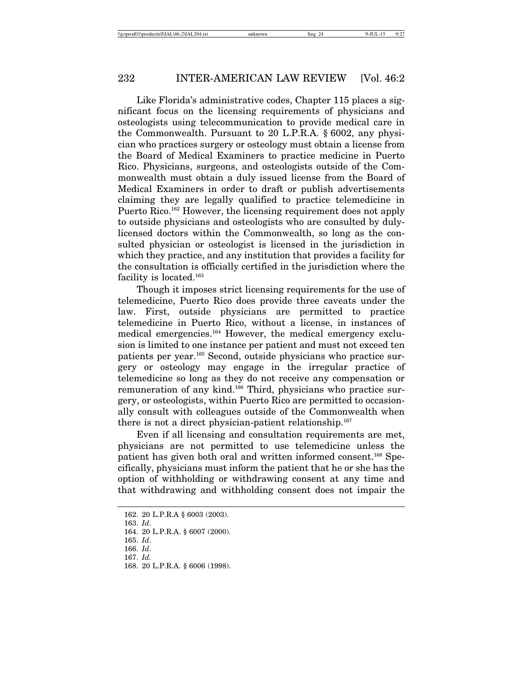Like Florida's administrative codes, Chapter 115 places a significant focus on the licensing requirements of physicians and osteologists using telecommunication to provide medical care in the Commonwealth. Pursuant to 20 L.P.R.A. § 6002, any physician who practices surgery or osteology must obtain a license from the Board of Medical Examiners to practice medicine in Puerto Rico. Physicians, surgeons, and osteologists outside of the Commonwealth must obtain a duly issued license from the Board of Medical Examiners in order to draft or publish advertisements claiming they are legally qualified to practice telemedicine in Puerto Rico.<sup>162</sup> However, the licensing requirement does not apply to outside physicians and osteologists who are consulted by dulylicensed doctors within the Commonwealth, so long as the consulted physician or osteologist is licensed in the jurisdiction in which they practice, and any institution that provides a facility for the consultation is officially certified in the jurisdiction where the facility is located.163

Though it imposes strict licensing requirements for the use of telemedicine, Puerto Rico does provide three caveats under the law. First, outside physicians are permitted to practice telemedicine in Puerto Rico, without a license, in instances of medical emergencies.164 However, the medical emergency exclusion is limited to one instance per patient and must not exceed ten patients per year.165 Second, outside physicians who practice surgery or osteology may engage in the irregular practice of telemedicine so long as they do not receive any compensation or remuneration of any kind.<sup>166</sup> Third, physicians who practice surgery, or osteologists, within Puerto Rico are permitted to occasionally consult with colleagues outside of the Commonwealth when there is not a direct physician-patient relationship.<sup>167</sup>

Even if all licensing and consultation requirements are met, physicians are not permitted to use telemedicine unless the patient has given both oral and written informed consent.168 Specifically, physicians must inform the patient that he or she has the option of withholding or withdrawing consent at any time and that withdrawing and withholding consent does not impair the

<sup>162. 20</sup> L.P.R.A § 6003 (2003).

<sup>163.</sup> *Id*.

<sup>164. 20</sup> L.P.R.A. § 6007 (2000).

<sup>165.</sup> *Id*.

<sup>166.</sup> *Id*.

<sup>167.</sup> *Id.*

<sup>168. 20</sup> L.P.R.A. § 6006 (1998).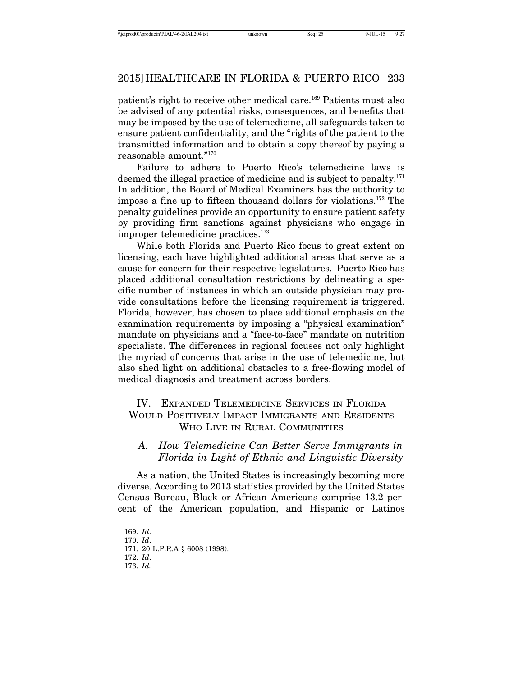patient's right to receive other medical care.169 Patients must also be advised of any potential risks, consequences, and benefits that may be imposed by the use of telemedicine, all safeguards taken to ensure patient confidentiality, and the "rights of the patient to the transmitted information and to obtain a copy thereof by paying a reasonable amount."170

Failure to adhere to Puerto Rico's telemedicine laws is deemed the illegal practice of medicine and is subject to penalty.171 In addition, the Board of Medical Examiners has the authority to impose a fine up to fifteen thousand dollars for violations.172 The penalty guidelines provide an opportunity to ensure patient safety by providing firm sanctions against physicians who engage in improper telemedicine practices.173

While both Florida and Puerto Rico focus to great extent on licensing, each have highlighted additional areas that serve as a cause for concern for their respective legislatures. Puerto Rico has placed additional consultation restrictions by delineating a specific number of instances in which an outside physician may provide consultations before the licensing requirement is triggered. Florida, however, has chosen to place additional emphasis on the examination requirements by imposing a "physical examination" mandate on physicians and a "face-to-face" mandate on nutrition specialists. The differences in regional focuses not only highlight the myriad of concerns that arise in the use of telemedicine, but also shed light on additional obstacles to a free-flowing model of medical diagnosis and treatment across borders.

# IV. EXPANDED TELEMEDICINE SERVICES IN FLORIDA WOULD POSITIVELY IMPACT IMMIGRANTS AND RESIDENTS WHO LIVE IN RURAL COMMUNITIES

# *A. How Telemedicine Can Better Serve Immigrants in Florida in Light of Ethnic and Linguistic Diversity*

As a nation, the United States is increasingly becoming more diverse. According to 2013 statistics provided by the United States Census Bureau, Black or African Americans comprise 13.2 percent of the American population, and Hispanic or Latinos

<sup>169.</sup> *Id*.

<sup>170.</sup> *Id*.

<sup>171. 20</sup> L.P.R.A § 6008 (1998).

<sup>172.</sup> *Id*.

<sup>173.</sup> *Id.*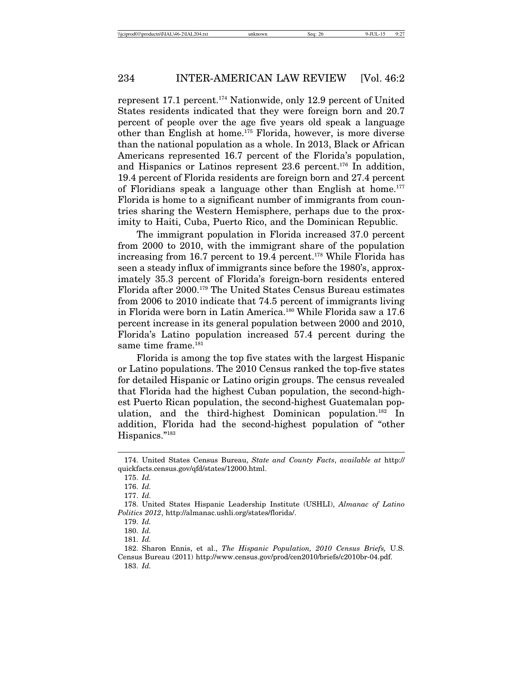represent 17.1 percent.174 Nationwide, only 12.9 percent of United States residents indicated that they were foreign born and 20.7 percent of people over the age five years old speak a language other than English at home.175 Florida, however, is more diverse than the national population as a whole. In 2013, Black or African Americans represented 16.7 percent of the Florida's population, and Hispanics or Latinos represent 23.6 percent.<sup>176</sup> In addition, 19.4 percent of Florida residents are foreign born and 27.4 percent of Floridians speak a language other than English at home.<sup>177</sup> Florida is home to a significant number of immigrants from countries sharing the Western Hemisphere, perhaps due to the proximity to Haiti, Cuba, Puerto Rico, and the Dominican Republic.

The immigrant population in Florida increased 37.0 percent from 2000 to 2010, with the immigrant share of the population increasing from 16.7 percent to 19.4 percent.<sup>178</sup> While Florida has seen a steady influx of immigrants since before the 1980's, approximately 35.3 percent of Florida's foreign-born residents entered Florida after 2000.179 The United States Census Bureau estimates from 2006 to 2010 indicate that 74.5 percent of immigrants living in Florida were born in Latin America.180 While Florida saw a 17.6 percent increase in its general population between 2000 and 2010, Florida's Latino population increased 57.4 percent during the same time frame.<sup>181</sup>

Florida is among the top five states with the largest Hispanic or Latino populations. The 2010 Census ranked the top-five states for detailed Hispanic or Latino origin groups. The census revealed that Florida had the highest Cuban population, the second-highest Puerto Rican population, the second-highest Guatemalan population, and the third-highest Dominican population.182 In addition, Florida had the second-highest population of "other Hispanics."183

<sup>174.</sup> United States Census Bureau, *State and County Facts*, *available at* http:// quickfacts.census.gov/qfd/states/12000.html.

<sup>175.</sup> *Id.*

<sup>176.</sup> *Id.*

<sup>177.</sup> *Id.*

<sup>178.</sup> United States Hispanic Leadership Institute (USHLI), *Almanac of Latino Politics 2012*, http://almanac.ushli.org/states/florida/.

<sup>179.</sup> *Id.*

<sup>180.</sup> *Id.*

<sup>181.</sup> *Id.*

<sup>182.</sup> Sharon Ennis, et al., *The Hispanic Population, 2010 Census Briefs,* U.S. Census Bureau (2011) http://www.census.gov/prod/cen2010/briefs/c2010br-04.pdf. 183. *Id.*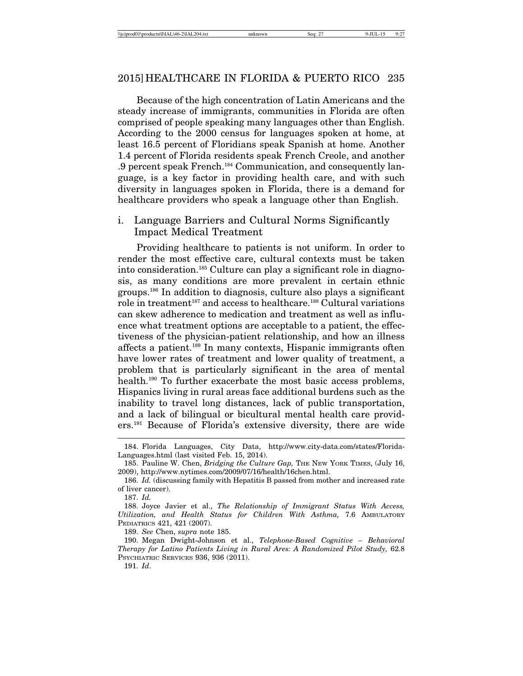Because of the high concentration of Latin Americans and the steady increase of immigrants, communities in Florida are often comprised of people speaking many languages other than English. According to the 2000 census for languages spoken at home, at least 16.5 percent of Floridians speak Spanish at home. Another 1.4 percent of Florida residents speak French Creole, and another .9 percent speak French.184 Communication, and consequently language, is a key factor in providing health care, and with such diversity in languages spoken in Florida, there is a demand for healthcare providers who speak a language other than English.

i. Language Barriers and Cultural Norms Significantly Impact Medical Treatment

Providing healthcare to patients is not uniform. In order to render the most effective care, cultural contexts must be taken into consideration.185 Culture can play a significant role in diagnosis, as many conditions are more prevalent in certain ethnic groups.186 In addition to diagnosis, culture also plays a significant role in treatment<sup>187</sup> and access to healthcare.<sup>188</sup> Cultural variations can skew adherence to medication and treatment as well as influence what treatment options are acceptable to a patient, the effectiveness of the physician-patient relationship, and how an illness affects a patient.<sup>189</sup> In many contexts, Hispanic immigrants often have lower rates of treatment and lower quality of treatment, a problem that is particularly significant in the area of mental health.<sup>190</sup> To further exacerbate the most basic access problems, Hispanics living in rural areas face additional burdens such as the inability to travel long distances, lack of public transportation, and a lack of bilingual or bicultural mental health care providers.191 Because of Florida's extensive diversity, there are wide

188. Joyce Javier et al., *The Relationship of Immigrant Status With Access, Utilization, and Health Status for Children With Asthma,* 7.6 AMBULATORY PEDIATRICS 421, 421 (2007).

191. *Id*.

<sup>184.</sup> Florida Languages, City Data, http://www.city-data.com/states/Florida-Languages.html (last visited Feb. 15, 2014).

<sup>185.</sup> Pauline W. Chen, *Bridging the Culture Gap,* THE NEW YORK TIMES, (July 16, 2009), http://www.nytimes.com/2009/07/16/health/16chen.html.

<sup>186.</sup> *Id.* (discussing family with Hepatitis B passed from mother and increased rate of liver cancer).

<sup>187.</sup> *Id.*

<sup>189.</sup> *See* Chen, *supra* note 185.

<sup>190.</sup> Megan Dwight-Johnson et al., *Telephone-Based Cognitive – Behavioral Therapy for Latino Patients Living in Rural Ares: A Randomized Pilot Study, 62.8* PSYCHIATRIC SERVICES 936, 936 (2011).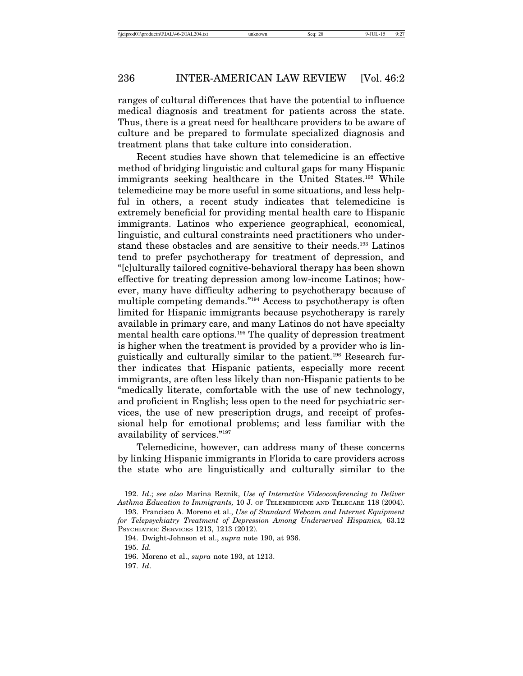ranges of cultural differences that have the potential to influence medical diagnosis and treatment for patients across the state. Thus, there is a great need for healthcare providers to be aware of culture and be prepared to formulate specialized diagnosis and treatment plans that take culture into consideration.

Recent studies have shown that telemedicine is an effective method of bridging linguistic and cultural gaps for many Hispanic immigrants seeking healthcare in the United States.<sup>192</sup> While telemedicine may be more useful in some situations, and less helpful in others, a recent study indicates that telemedicine is extremely beneficial for providing mental health care to Hispanic immigrants. Latinos who experience geographical, economical, linguistic, and cultural constraints need practitioners who understand these obstacles and are sensitive to their needs.193 Latinos tend to prefer psychotherapy for treatment of depression, and "[c]ulturally tailored cognitive-behavioral therapy has been shown effective for treating depression among low-income Latinos; however, many have difficulty adhering to psychotherapy because of multiple competing demands."<sup>194</sup> Access to psychotherapy is often limited for Hispanic immigrants because psychotherapy is rarely available in primary care, and many Latinos do not have specialty mental health care options.195 The quality of depression treatment is higher when the treatment is provided by a provider who is linguistically and culturally similar to the patient.196 Research further indicates that Hispanic patients, especially more recent immigrants, are often less likely than non-Hispanic patients to be "medically literate, comfortable with the use of new technology, and proficient in English; less open to the need for psychiatric services, the use of new prescription drugs, and receipt of professional help for emotional problems; and less familiar with the availability of services."197

Telemedicine, however, can address many of these concerns by linking Hispanic immigrants in Florida to care providers across the state who are linguistically and culturally similar to the

197. *Id*.

<sup>192.</sup> *Id*.; *see also* Marina Reznik, *Use of Interactive Videoconferencing to Deliver Asthma Education to Immigrants,* 10 J. OF TELEMEDICINE AND TELECARE 118 (2004).

<sup>193.</sup> Francisco A. Moreno et al., *Use of Standard Webcam and Internet Equipment for Telepsychiatry Treatment of Depression Among Underserved Hispanics,* 63.12 PSYCHIATRIC SERVICES 1213, 1213 (2012).

<sup>194.</sup> Dwight-Johnson et al., *supra* note 190, at 936.

<sup>195.</sup> *Id.*

<sup>196.</sup> Moreno et al., *supra* note 193, at 1213.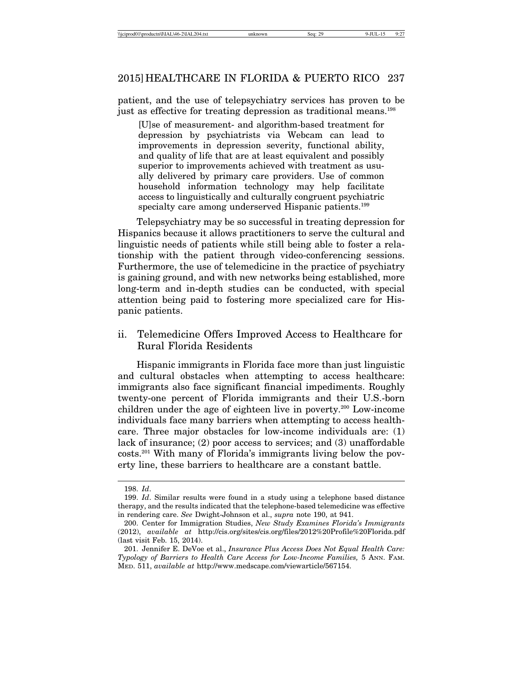patient, and the use of telepsychiatry services has proven to be just as effective for treating depression as traditional means.198

[U]se of measurement- and algorithm-based treatment for depression by psychiatrists via Webcam can lead to improvements in depression severity, functional ability, and quality of life that are at least equivalent and possibly superior to improvements achieved with treatment as usually delivered by primary care providers. Use of common household information technology may help facilitate access to linguistically and culturally congruent psychiatric specialty care among underserved Hispanic patients.<sup>199</sup>

Telepsychiatry may be so successful in treating depression for Hispanics because it allows practitioners to serve the cultural and linguistic needs of patients while still being able to foster a relationship with the patient through video-conferencing sessions. Furthermore, the use of telemedicine in the practice of psychiatry is gaining ground, and with new networks being established, more long-term and in-depth studies can be conducted, with special attention being paid to fostering more specialized care for Hispanic patients.

ii. Telemedicine Offers Improved Access to Healthcare for Rural Florida Residents

Hispanic immigrants in Florida face more than just linguistic and cultural obstacles when attempting to access healthcare: immigrants also face significant financial impediments. Roughly twenty-one percent of Florida immigrants and their U.S.-born children under the age of eighteen live in poverty.200 Low-income individuals face many barriers when attempting to access healthcare. Three major obstacles for low-income individuals are: (1) lack of insurance; (2) poor access to services; and (3) unaffordable costs.201 With many of Florida's immigrants living below the poverty line, these barriers to healthcare are a constant battle.

<sup>198.</sup> *Id*.

<sup>199.</sup> *Id*. Similar results were found in a study using a telephone based distance therapy, and the results indicated that the telephone-based telemedicine was effective in rendering care. *See* Dwight-Johnson et al., *supra* note 190, at 941.

<sup>200.</sup> Center for Immigration Studies, *New Study Examines Florida's Immigrants* (2012), *available at* http://cis.org/sites/cis.org/files/2012%20Profile%20Florida.pdf (last visit Feb. 15, 2014).

<sup>201.</sup> Jennifer E. DeVoe et al., *Insurance Plus Access Does Not Equal Health Care: Typology of Barriers to Health Care Access for Low-Income Families,* 5 ANN. FAM. MED. 511, *available at* http://www.medscape.com/viewarticle/567154.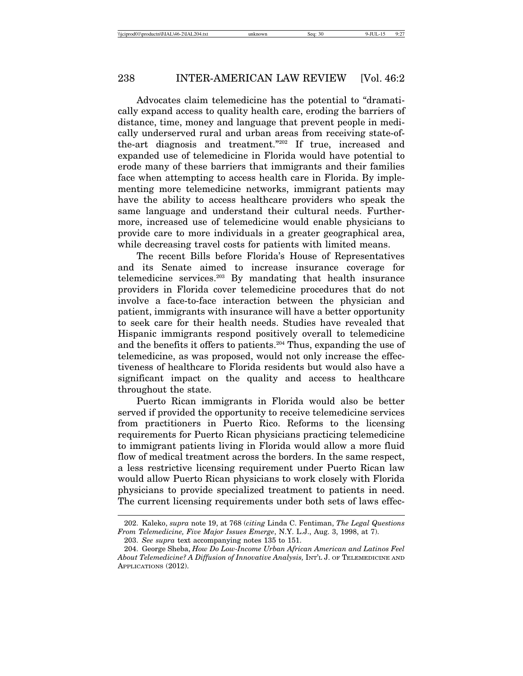Advocates claim telemedicine has the potential to "dramatically expand access to quality health care, eroding the barriers of distance, time, money and language that prevent people in medically underserved rural and urban areas from receiving state-ofthe-art diagnosis and treatment."202 If true, increased and expanded use of telemedicine in Florida would have potential to erode many of these barriers that immigrants and their families face when attempting to access health care in Florida. By implementing more telemedicine networks, immigrant patients may have the ability to access healthcare providers who speak the same language and understand their cultural needs. Furthermore, increased use of telemedicine would enable physicians to provide care to more individuals in a greater geographical area, while decreasing travel costs for patients with limited means.

The recent Bills before Florida's House of Representatives and its Senate aimed to increase insurance coverage for telemedicine services.203 By mandating that health insurance providers in Florida cover telemedicine procedures that do not involve a face-to-face interaction between the physician and patient, immigrants with insurance will have a better opportunity to seek care for their health needs. Studies have revealed that Hispanic immigrants respond positively overall to telemedicine and the benefits it offers to patients.<sup>204</sup> Thus, expanding the use of telemedicine, as was proposed, would not only increase the effectiveness of healthcare to Florida residents but would also have a significant impact on the quality and access to healthcare throughout the state.

Puerto Rican immigrants in Florida would also be better served if provided the opportunity to receive telemedicine services from practitioners in Puerto Rico. Reforms to the licensing requirements for Puerto Rican physicians practicing telemedicine to immigrant patients living in Florida would allow a more fluid flow of medical treatment across the borders. In the same respect, a less restrictive licensing requirement under Puerto Rican law would allow Puerto Rican physicians to work closely with Florida physicians to provide specialized treatment to patients in need. The current licensing requirements under both sets of laws effec-

<sup>202.</sup> Kaleko, *supra* note 19, at 768 (*citing* Linda C. Fentiman, *The Legal Questions From Telemedicine, Five Major Issues Emerge*, N.Y. L.J., Aug. 3, 1998, at 7).

<sup>203.</sup> *See supra* text accompanying notes 135 to 151.

<sup>204.</sup> George Sheba, *How Do Low-Income Urban African American and Latinos Feel* About Telemedicine? A Diffusion of Innovative Analysis, INT'L J. OF TELEMEDICINE AND APPLICATIONS (2012).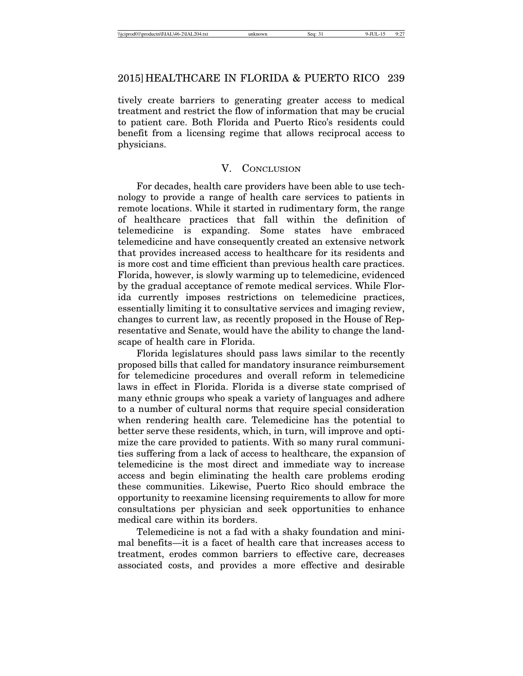tively create barriers to generating greater access to medical treatment and restrict the flow of information that may be crucial to patient care. Both Florida and Puerto Rico's residents could benefit from a licensing regime that allows reciprocal access to physicians.

# V. CONCLUSION

For decades, health care providers have been able to use technology to provide a range of health care services to patients in remote locations. While it started in rudimentary form, the range of healthcare practices that fall within the definition of telemedicine is expanding. Some states have embraced telemedicine and have consequently created an extensive network that provides increased access to healthcare for its residents and is more cost and time efficient than previous health care practices. Florida, however, is slowly warming up to telemedicine, evidenced by the gradual acceptance of remote medical services. While Florida currently imposes restrictions on telemedicine practices, essentially limiting it to consultative services and imaging review, changes to current law, as recently proposed in the House of Representative and Senate, would have the ability to change the landscape of health care in Florida.

Florida legislatures should pass laws similar to the recently proposed bills that called for mandatory insurance reimbursement for telemedicine procedures and overall reform in telemedicine laws in effect in Florida. Florida is a diverse state comprised of many ethnic groups who speak a variety of languages and adhere to a number of cultural norms that require special consideration when rendering health care. Telemedicine has the potential to better serve these residents, which, in turn, will improve and optimize the care provided to patients. With so many rural communities suffering from a lack of access to healthcare, the expansion of telemedicine is the most direct and immediate way to increase access and begin eliminating the health care problems eroding these communities. Likewise, Puerto Rico should embrace the opportunity to reexamine licensing requirements to allow for more consultations per physician and seek opportunities to enhance medical care within its borders.

Telemedicine is not a fad with a shaky foundation and minimal benefits—it is a facet of health care that increases access to treatment, erodes common barriers to effective care, decreases associated costs, and provides a more effective and desirable